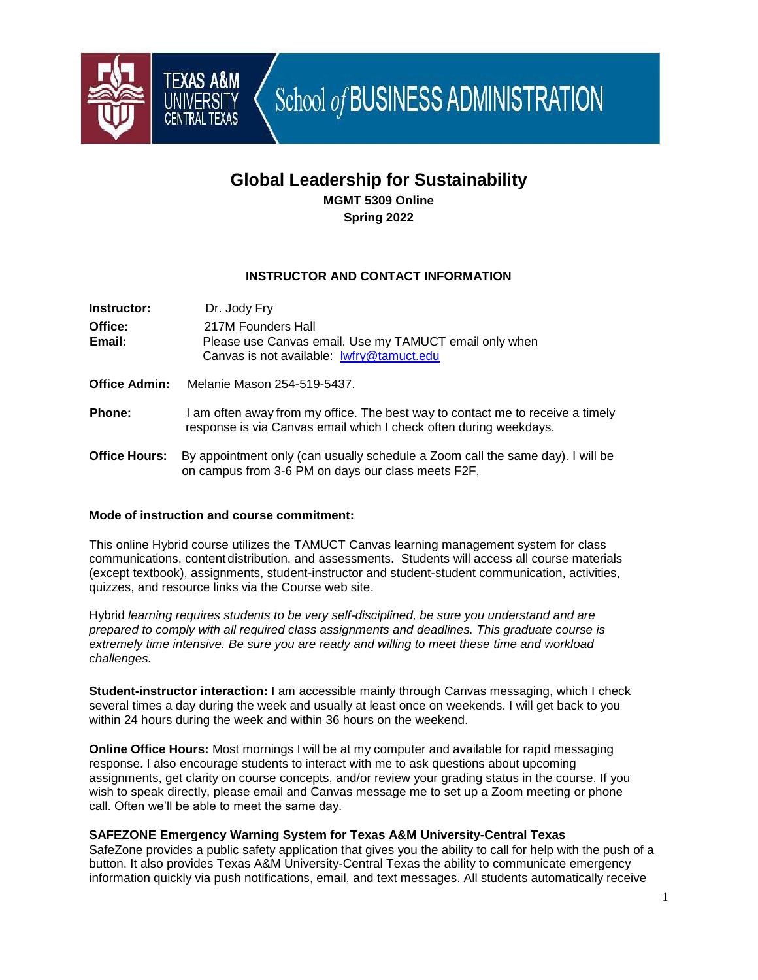

School of BUSINESS ADMINISTRATION

# **Global Leadership for Sustainability MGMT 5309 Online Spring 2022**

## **INSTRUCTOR AND CONTACT INFORMATION**

| Instructor:          | Dr. Jody Fry                                                                                                                                        |
|----------------------|-----------------------------------------------------------------------------------------------------------------------------------------------------|
| Office:              | 217M Founders Hall                                                                                                                                  |
| Email:               | Please use Canvas email. Use my TAMUCT email only when<br>Canvas is not available: lwfry@tamuct.edu                                                 |
| <b>Office Admin:</b> | Melanie Mason 254-519-5437.                                                                                                                         |
| <b>Phone:</b>        | I am often away from my office. The best way to contact me to receive a timely<br>response is via Canvas email which I check often during weekdays. |
| <b>Office Hours:</b> | By appointment only (can usually schedule a Zoom call the same day). I will be<br>on campus from 3-6 PM on days our class meets F2F,                |

## **Mode of instruction and course commitment:**

This online Hybrid course utilizes the TAMUCT Canvas learning management system for class communications, content distribution, and assessments. Students will access all course materials (except textbook), assignments, student-instructor and student-student communication, activities, quizzes, and resource links via the Course web site.

Hybrid *learning requires students to be very self-disciplined, be sure you understand and are prepared to comply with all required class assignments and deadlines. This graduate course is extremely time intensive. Be sure you are ready and willing to meet these time and workload challenges.* 

**Student-instructor interaction:** I am accessible mainly through Canvas messaging, which I check several times a day during the week and usually at least once on weekends. I will get back to you within 24 hours during the week and within 36 hours on the weekend.

**Online Office Hours:** Most mornings I will be at my computer and available for rapid messaging response. I also encourage students to interact with me to ask questions about upcoming assignments, get clarity on course concepts, and/or review your grading status in the course. If you wish to speak directly, please email and Canvas message me to set up a Zoom meeting or phone call. Often we'll be able to meet the same day.

## **SAFEZONE Emergency Warning System for Texas A&M University-Central Texas**

SafeZone provides a public safety application that gives you the ability to call for help with the push of a button. It also provides Texas A&M University-Central Texas the ability to communicate emergency information quickly via push notifications, email, and text messages. All students automatically receive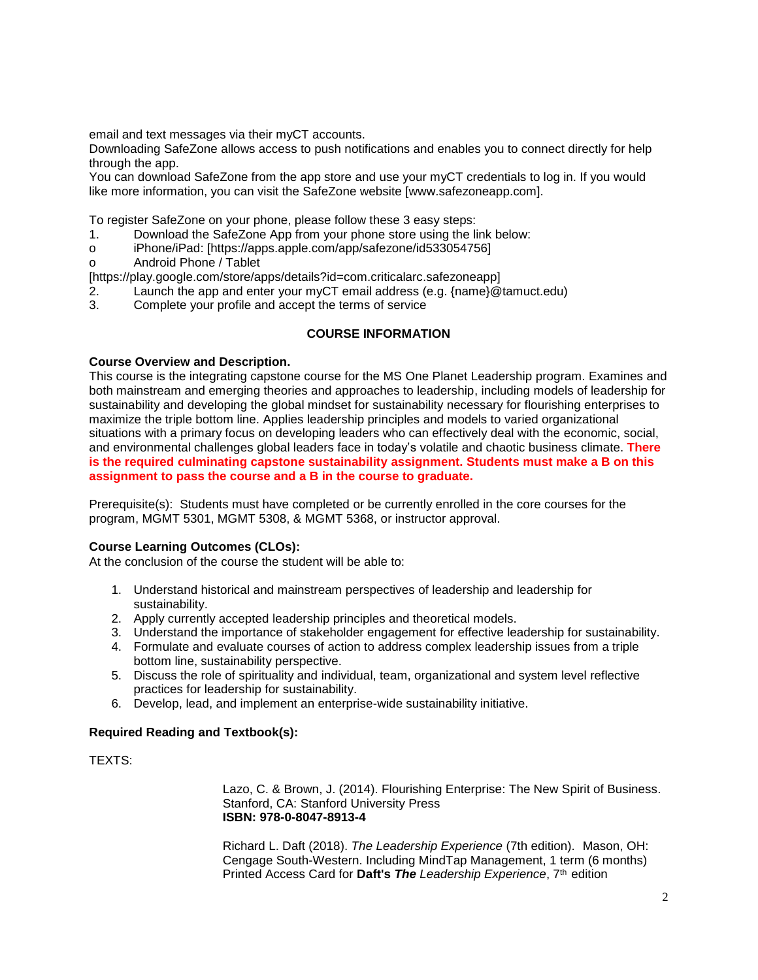email and text messages via their myCT accounts.

Downloading SafeZone allows access to push notifications and enables you to connect directly for help through the app.

You can download SafeZone from the app store and use your myCT credentials to log in. If you would like more information, you can visit the SafeZone website [www.safezoneapp.com].

To register SafeZone on your phone, please follow these 3 easy steps:

- 1. Download the SafeZone App from your phone store using the link below:
- o iPhone/iPad: [https://apps.apple.com/app/safezone/id533054756]
- o Android Phone / Tablet

[https://play.google.com/store/apps/details?id=com.criticalarc.safezoneapp]

- 2. Launch the app and enter your myCT email address (e.g. {name}@tamuct.edu)
- 3. Complete your profile and accept the terms of service

## **COURSE INFORMATION**

#### **Course Overview and Description.**

This course is the integrating capstone course for the MS One Planet Leadership program. Examines and both mainstream and emerging theories and approaches to leadership, including models of leadership for sustainability and developing the global mindset for sustainability necessary for flourishing enterprises to maximize the triple bottom line. Applies leadership principles and models to varied organizational situations with a primary focus on developing leaders who can effectively deal with the economic, social, and environmental challenges global leaders face in today's volatile and chaotic business climate. **There is the required culminating capstone sustainability assignment. Students must make a B on this assignment to pass the course and a B in the course to graduate.** 

Prerequisite(s): Students must have completed or be currently enrolled in the core courses for the program, [MGMT](http://catalog.tamuct.edu/search/?P=MGTK%20501) 5301, [MGMT](http://catalog.tamuct.edu/search/?P=MGTK%20508) 5308, & [MGMT](http://catalog.tamuct.edu/search/?P=MGTK%20568) 5368, or instructor approval.

## **Course Learning Outcomes (CLOs):**

At the conclusion of the course the student will be able to:

- 1. Understand historical and mainstream perspectives of leadership and leadership for sustainability.
- 2. Apply currently accepted leadership principles and theoretical models.
- 3. Understand the importance of stakeholder engagement for effective leadership for sustainability.
- 4. Formulate and evaluate courses of action to address complex leadership issues from a triple bottom line, sustainability perspective.
- 5. Discuss the role of spirituality and individual, team, organizational and system level reflective practices for leadership for sustainability.
- 6. Develop, lead, and implement an enterprise-wide sustainability initiative.

## **Required Reading and Textbook(s):**

TEXTS:

Lazo, C. & Brown, J. (2014). Flourishing Enterprise: The New Spirit of Business. Stanford, CA: Stanford University Press **ISBN: 978-0-8047-8913-4**

Richard L. Daft (2018). *The Leadership Experience* (7th edition). Mason, OH: Cengage South-Western. Including MindTap Management, 1 term (6 months) Printed Access Card for **Daft's** *The Leadership Experience*, 7th edition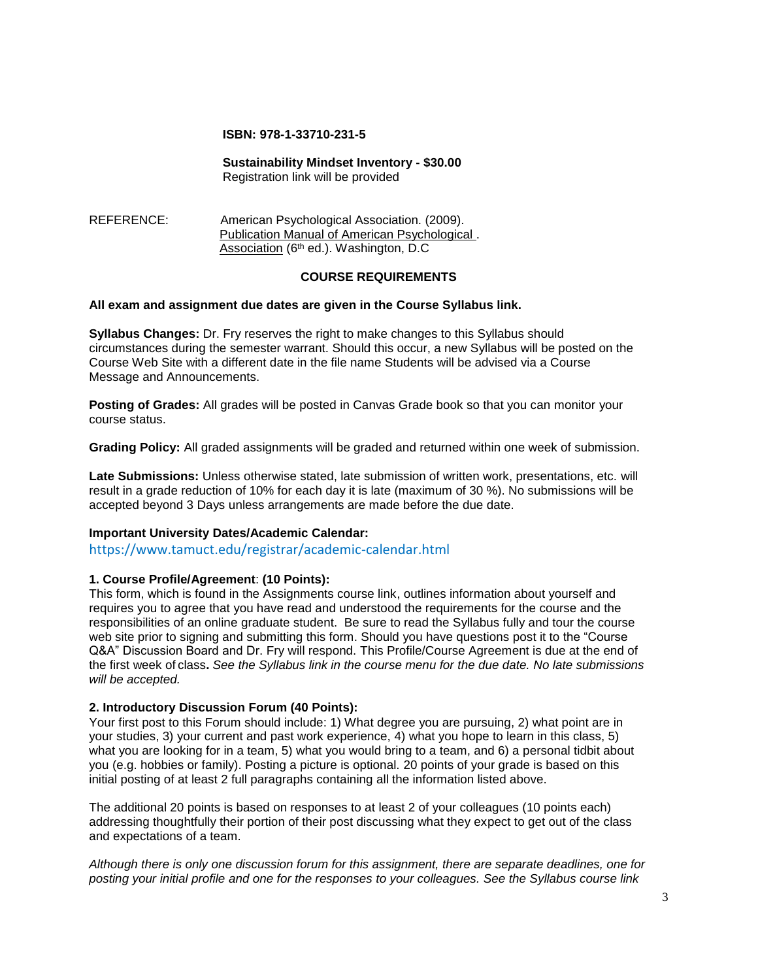#### **ISBN: 978-1-33710-231-5**

# **Sustainability Mindset Inventory - \$30.00**

Registration link will be provided

REFERENCE:American Psychological Association. (2009).Publication Manual of American Psychological . Association (6<sup>th</sup> ed.). Washington, D.C.

## **COURSE REQUIREMENTS**

## **All exam and assignment due dates are given in the Course Syllabus link.**

**Syllabus Changes:** Dr. Fry reserves the right to make changes to this Syllabus should circumstances during the semester warrant. Should this occur, a new Syllabus will be posted on the Course Web Site with a different date in the file name Students will be advised via a Course Message and Announcements.

**Posting of Grades:** All grades will be posted in Canvas Grade book so that you can monitor your course status.

**Grading Policy:** All graded assignments will be graded and returned within one week of submission.

**Late Submissions:** Unless otherwise stated, late submission of written work, presentations, etc. will result in a grade reduction of 10% for each day it is late (maximum of 30 %). No submissions will be accepted beyond 3 Days unless arrangements are made before the due date.

## **Important University Dates/Academic Calendar:**

https://www.tamuct.edu/registrar/academic-calendar.html

## **1. Course Profile/Agreement**: **(10 Points):**

This form, which is found in the Assignments course link, outlines information about yourself and requires you to agree that you have read and understood the requirements for the course and the responsibilities of an online graduate student. Be sure to read the Syllabus fully and tour the course web site prior to signing and submitting this form. Should you have questions post it to the "Course Q&A" Discussion Board and Dr. Fry will respond. This Profile/Course Agreement is due at the end of the first week of class**.** *See the Syllabus link in the course menu for the due date. No late submissions will be accepted.*

## **2. Introductory Discussion Forum (40 Points):**

Your first post to this Forum should include: 1) What degree you are pursuing, 2) what point are in your studies, 3) your current and past work experience, 4) what you hope to learn in this class, 5) what you are looking for in a team, 5) what you would bring to a team, and 6) a personal tidbit about you (e.g. hobbies or family). Posting a picture is optional. 20 points of your grade is based on this initial posting of at least 2 full paragraphs containing all the information listed above.

The additional 20 points is based on responses to at least 2 of your colleagues (10 points each) addressing thoughtfully their portion of their post discussing what they expect to get out of the class and expectations of a team.

*Although there is only one discussion forum for this assignment, there are separate deadlines, one for posting your initial profile and one for the responses to your colleagues. See the Syllabus course link*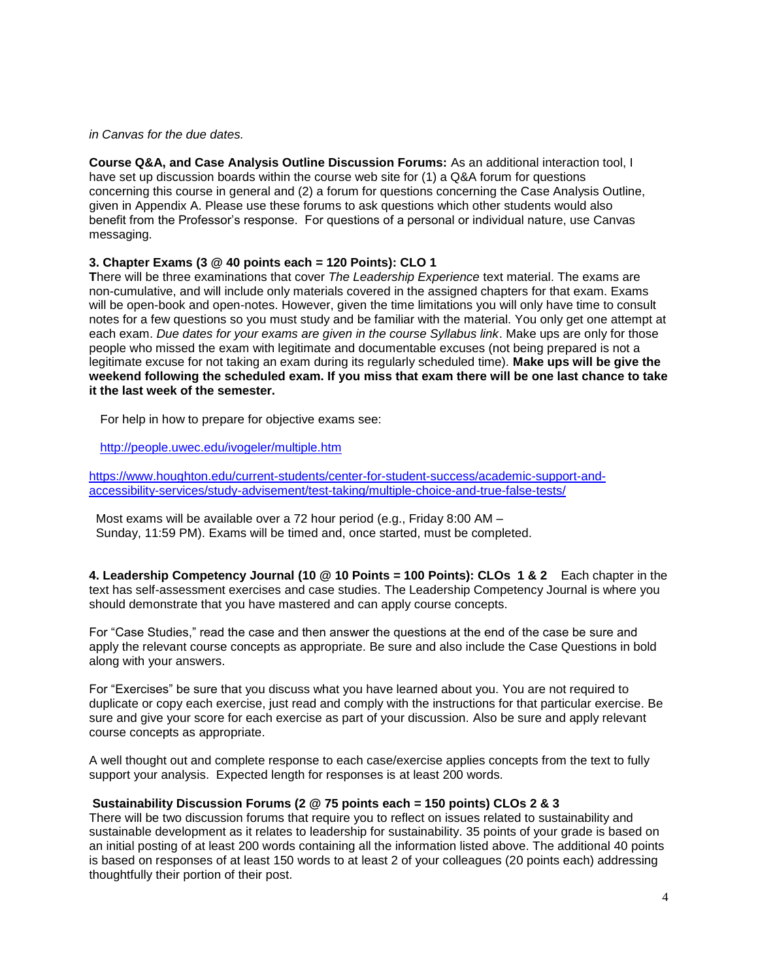#### *in Canvas for the due dates.*

**Course Q&A, and Case Analysis Outline Discussion Forums:** As an additional interaction tool, I have set up discussion boards within the course web site for (1) a Q&A forum for questions concerning this course in general and (2) a forum for questions concerning the Case Analysis Outline, given in Appendix A. Please use these forums to ask questions which other students would also benefit from the Professor's response. For questions of a personal or individual nature, use Canvas messaging.

## **3. Chapter Exams (3 @ 40 points each = 120 Points): CLO 1**

**T**here will be three examinations that cover *The Leadership Experience* text material. The exams are non-cumulative, and will include only materials covered in the assigned chapters for that exam. Exams will be open-book and open-notes. However, given the time limitations you will only have time to consult notes for a few questions so you must study and be familiar with the material. You only get one attempt at each exam. *Due dates for your exams are given in the course Syllabus link*. Make ups are only for those people who missed the exam with legitimate and documentable excuses (not being prepared is not a legitimate excuse for not taking an exam during its regularly scheduled time). **Make ups will be give the weekend following the scheduled exam. If you miss that exam there will be one last chance to take it the last week of the semester.**

For help in how to prepare for objective exams see:

<http://people.uwec.edu/ivogeler/multiple.htm>

[https://www.houghton.edu/current-students/center-for-student-success/academic-support-and](https://www.houghton.edu/current-students/center-for-student-success/academic-support-and-accessibility-services/study-advisement/test-taking/multiple-choice-and-true-false-tests/)[accessibility-services/study-advisement/test-taking/multiple-choice-and-true-false-tests/](https://www.houghton.edu/current-students/center-for-student-success/academic-support-and-accessibility-services/study-advisement/test-taking/multiple-choice-and-true-false-tests/)

 Most exams will be available over a 72 hour period (e.g., Friday 8:00 AM – Sunday, 11:59 PM). Exams will be timed and, once started, must be completed.

**4. Leadership Competency Journal (10 @ 10 Points = 100 Points): CLOs 1 & 2** Each chapter in the text has self-assessment exercises and case studies. The Leadership Competency Journal is where you should demonstrate that you have mastered and can apply course concepts.

For "Case Studies," read the case and then answer the questions at the end of the case be sure and apply the relevant course concepts as appropriate. Be sure and also include the Case Questions in bold along with your answers.

For "Exercises" be sure that you discuss what you have learned about you. You are not required to duplicate or copy each exercise, just read and comply with the instructions for that particular exercise. Be sure and give your score for each exercise as part of your discussion. Also be sure and apply relevant course concepts as appropriate.

A well thought out and complete response to each case/exercise applies concepts from the text to fully support your analysis. Expected length for responses is at least 200 words.

## **Sustainability Discussion Forums (2 @ 75 points each = 150 points) CLOs 2 & 3**

There will be two discussion forums that require you to reflect on issues related to sustainability and sustainable development as it relates to leadership for sustainability. 35 points of your grade is based on an initial posting of at least 200 words containing all the information listed above. The additional 40 points is based on responses of at least 150 words to at least 2 of your colleagues (20 points each) addressing thoughtfully their portion of their post.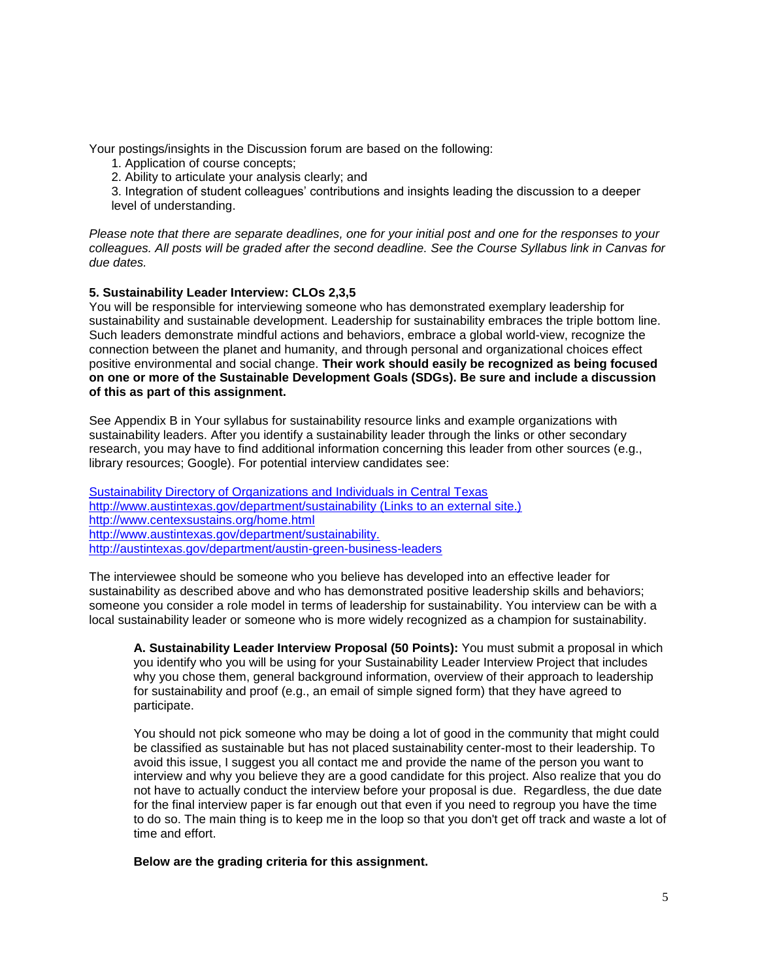Your postings/insights in the Discussion forum are based on the following:

- 1. Application of course concepts;
- 2. Ability to articulate your analysis clearly; and

3. Integration of student colleagues' contributions and insights leading the discussion to a deeper level of understanding.

*Please note that there are separate deadlines, one for your initial post and one for the responses to your colleagues. All posts will be graded after the second deadline. See the Course Syllabus link in Canvas for due dates.*

## **5. Sustainability Leader Interview: CLOs 2,3,5**

You will be responsible for interviewing someone who has demonstrated exemplary leadership for sustainability and sustainable development. Leadership for sustainability embraces the triple bottom line. Such leaders demonstrate mindful actions and behaviors, embrace a global world-view, recognize the connection between the planet and humanity, and through personal and organizational choices effect positive environmental and social change. **Their work should easily be recognized as being focused on one or more of the Sustainable Development Goals (SDGs). Be sure and include a discussion of this as part of this assignment.**

See Appendix B in Your syllabus for sustainability resource links and example organizations with sustainability leaders. After you identify a sustainability leader through the links or other secondary research, you may have to find additional information concerning this leader from other sources (e.g., library resources; Google). For potential interview candidates see:

[Sustainability Directory of Organizations and Individuals in Central Texas](https://tamuct.instructure.com/courses/6267/files/609390/download?wrap=1) <http://www.austintexas.gov/department/sustainability> (Links to an external site.) <http://www.centexsustains.org/home.html> <http://www.austintexas.gov/department/sustainability.> <http://austintexas.gov/department/austin-green-business-leaders>

The interviewee should be someone who you believe has developed into an effective leader for sustainability as described above and who has demonstrated positive leadership skills and behaviors; someone you consider a role model in terms of leadership for sustainability. You interview can be with a local sustainability leader or someone who is more widely recognized as a champion for sustainability.

**A. Sustainability Leader Interview Proposal (50 Points):** You must submit a proposal in which you identify who you will be using for your Sustainability Leader Interview Project that includes why you chose them, general background information, overview of their approach to leadership for sustainability and proof (e.g., an email of simple signed form) that they have agreed to participate.

You should not pick someone who may be doing a lot of good in the community that might could be classified as sustainable but has not placed sustainability center-most to their leadership. To avoid this issue, I suggest you all contact me and provide the name of the person you want to interview and why you believe they are a good candidate for this project. Also realize that you do not have to actually conduct the interview before your proposal is due. Regardless, the due date for the final interview paper is far enough out that even if you need to regroup you have the time to do so. The main thing is to keep me in the loop so that you don't get off track and waste a lot of time and effort.

**Below are the grading criteria for this assignment.**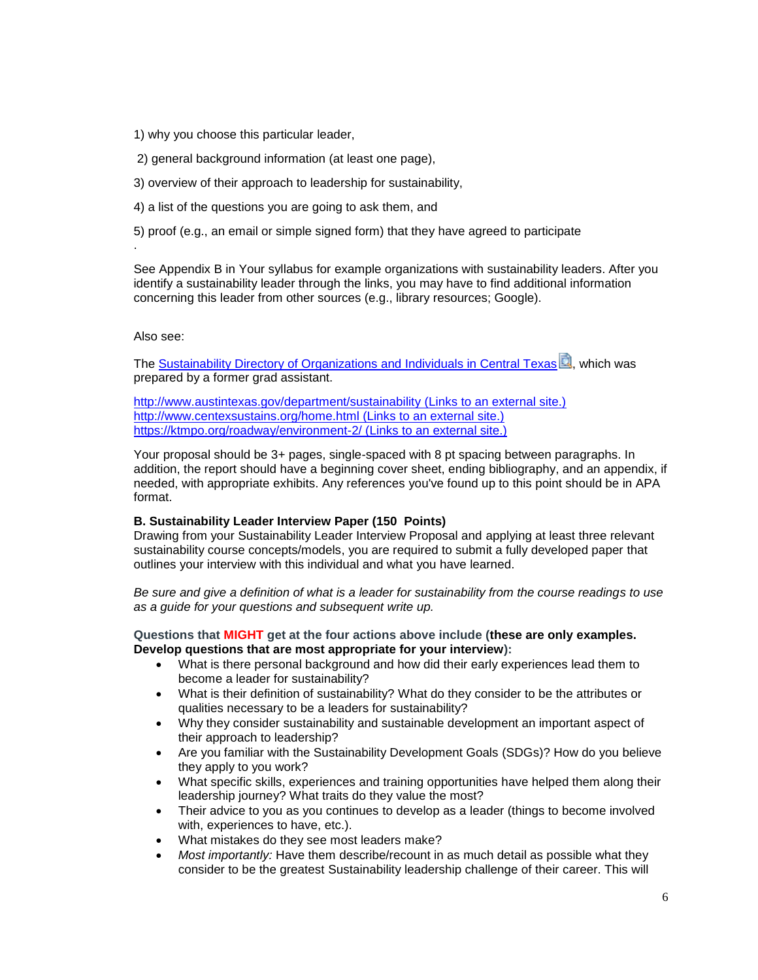1) why you choose this particular leader,

2) general background information (at least one page),

3) overview of their approach to leadership for sustainability,

4) a list of the questions you are going to ask them, and

5) proof (e.g., an email or simple signed form) that they have agreed to participate

See Appendix B in Your syllabus for example organizations with sustainability leaders. After you identify a sustainability leader through the links, you may have to find additional information concerning this leader from other sources (e.g., library resources; Google).

Also see:

.

The **[Sustainability Directory of Organizations and Individuals in Central Texas](https://tamuct.instructure.com/courses/6305/files/623057/download?wrap=1)<sup>3</sup>, which was** prepared by a former grad assistant.

<http://www.austintexas.gov/department/sustainability> (Links to an external site.) <http://www.centexsustains.org/home.html> (Links to an external site.) <https://ktmpo.org/roadway/environment-2/> (Links to an external site.)

Your proposal should be 3+ pages, single-spaced with 8 pt spacing between paragraphs. In addition, the report should have a beginning cover sheet, ending bibliography, and an appendix, if needed, with appropriate exhibits. Any references you've found up to this point should be in APA format.

## **B. Sustainability Leader Interview Paper (150 Points)**

Drawing from your Sustainability Leader Interview Proposal and applying at least three relevant sustainability course concepts/models, you are required to submit a fully developed paper that outlines your interview with this individual and what you have learned.

*Be sure and give a definition of what is a leader for sustainability from the course readings to use as a guide for your questions and subsequent write up.*

## **Questions that MIGHT get at the four actions above include (these are only examples. Develop questions that are most appropriate for your interview):**

- What is there personal background and how did their early experiences lead them to become a leader for sustainability?
- What is their definition of sustainability? What do they consider to be the attributes or qualities necessary to be a leaders for sustainability?
- Why they consider sustainability and sustainable development an important aspect of their approach to leadership?
- Are you familiar with the Sustainability Development Goals (SDGs)? How do you believe they apply to you work?
- What specific skills, experiences and training opportunities have helped them along their leadership journey? What traits do they value the most?
- Their advice to you as you continues to develop as a leader (things to become involved with, experiences to have, etc.).
- What mistakes do they see most leaders make?
- *Most importantly:* Have them describe/recount in as much detail as possible what they consider to be the greatest Sustainability leadership challenge of their career. This will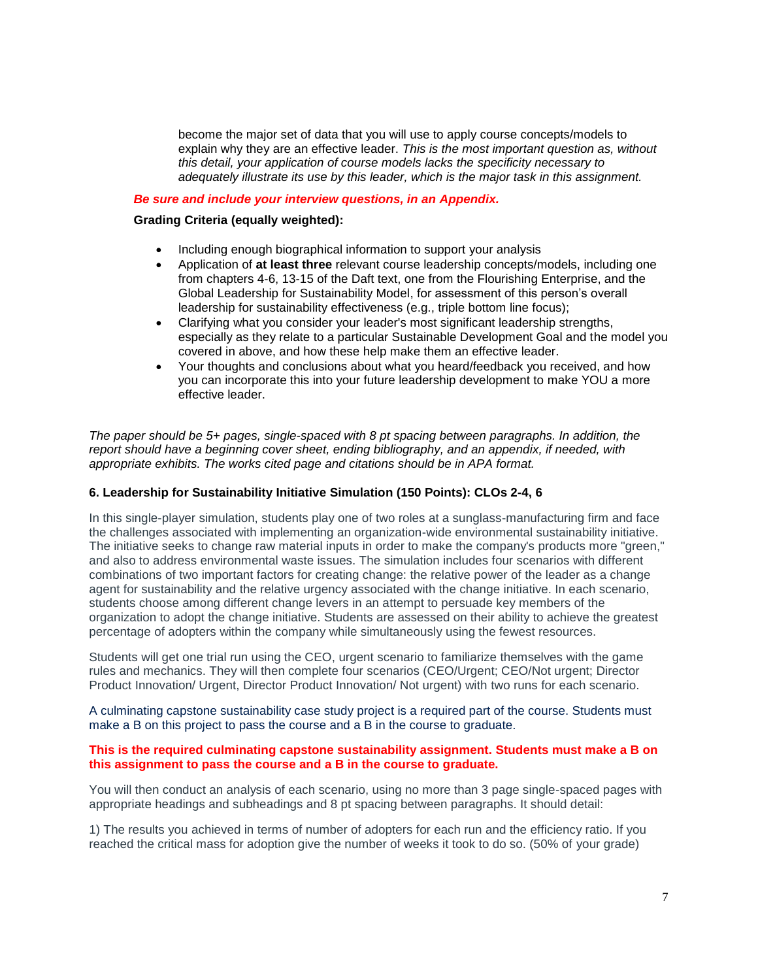become the major set of data that you will use to apply course concepts/models to explain why they are an effective leader. *This is the most important question as, without this detail, your application of course models lacks the specificity necessary to adequately illustrate its use by this leader, which is the major task in this assignment.*

## *Be sure and include your interview questions, in an Appendix.*

## **Grading Criteria (equally weighted):**

- Including enough biographical information to support your analysis
- Application of **at least three** relevant course leadership concepts/models, including one from chapters 4-6, 13-15 of the Daft text, one from the Flourishing Enterprise, and the Global Leadership for Sustainability Model, for assessment of this person's overall leadership for sustainability effectiveness (e.g., triple bottom line focus);
- Clarifying what you consider your leader's most significant leadership strengths, especially as they relate to a particular Sustainable Development Goal and the model you covered in above, and how these help make them an effective leader.
- Your thoughts and conclusions about what you heard/feedback you received, and how you can incorporate this into your future leadership development to make YOU a more effective leader.

*The paper should be 5+ pages, single-spaced with 8 pt spacing between paragraphs. In addition, the report should have a beginning cover sheet, ending bibliography, and an appendix, if needed, with appropriate exhibits. The works cited page and citations should be in APA format.*

## **6. Leadership for Sustainability Initiative Simulation (150 Points): CLOs 2-4, 6**

In this single-player simulation, students play one of two roles at a sunglass-manufacturing firm and face the challenges associated with implementing an organization-wide environmental sustainability initiative. The initiative seeks to change raw material inputs in order to make the company's products more "green," and also to address environmental waste issues. The simulation includes four scenarios with different combinations of two important factors for creating change: the relative power of the leader as a change agent for sustainability and the relative urgency associated with the change initiative. In each scenario, students choose among different change levers in an attempt to persuade key members of the organization to adopt the change initiative. Students are assessed on their ability to achieve the greatest percentage of adopters within the company while simultaneously using the fewest resources.

Students will get one trial run using the CEO, urgent scenario to familiarize themselves with the game rules and mechanics. They will then complete four scenarios (CEO/Urgent; CEO/Not urgent; Director Product Innovation/ Urgent, Director Product Innovation/ Not urgent) with two runs for each scenario.

A culminating capstone sustainability case study project is a required part of the course. Students must make a B on this project to pass the course and a B in the course to graduate.

## **This is the required culminating capstone sustainability assignment. Students must make a B on this assignment to pass the course and a B in the course to graduate.**

You will then conduct an analysis of each scenario, using no more than 3 page single-spaced pages with appropriate headings and subheadings and 8 pt spacing between paragraphs. It should detail:

1) The results you achieved in terms of number of adopters for each run and the efficiency ratio. If you reached the critical mass for adoption give the number of weeks it took to do so. (50% of your grade)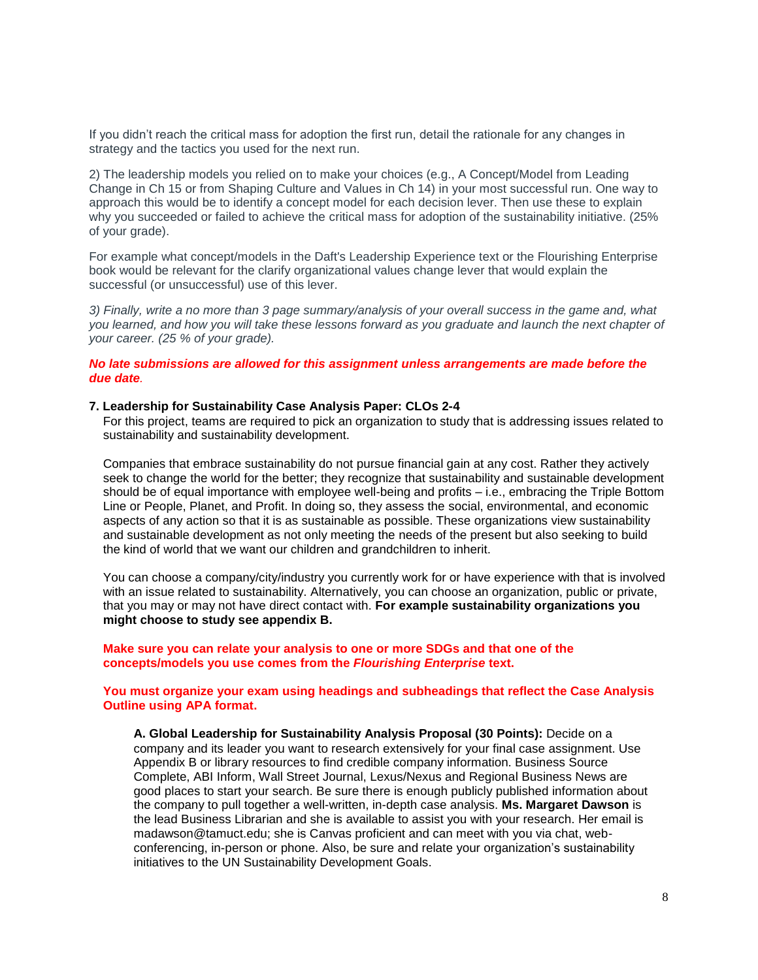If you didn't reach the critical mass for adoption the first run, detail the rationale for any changes in strategy and the tactics you used for the next run.

2) The leadership models you relied on to make your choices (e.g., A Concept/Model from Leading Change in Ch 15 or from Shaping Culture and Values in Ch 14) in your most successful run. One way to approach this would be to identify a concept model for each decision lever. Then use these to explain why you succeeded or failed to achieve the critical mass for adoption of the sustainability initiative. (25% of your grade).

For example what concept/models in the Daft's Leadership Experience text or the Flourishing Enterprise book would be relevant for the clarify organizational values change lever that would explain the successful (or unsuccessful) use of this lever.

*3) Finally, write a no more than 3 page summary/analysis of your overall success in the game and, what you learned, and how you will take these lessons forward as you graduate and launch the next chapter of your career. (25 % of your grade).*

## *No late submissions are allowed for this assignment unless arrangements are made before the due date.*

#### **7. Leadership for Sustainability Case Analysis Paper: CLOs 2-4**

For this project, teams are required to pick an organization to study that is addressing issues related to sustainability and sustainability development.

Companies that embrace sustainability do not pursue financial gain at any cost. Rather they actively seek to change the world for the better; they recognize that sustainability and sustainable development should be of equal importance with employee well-being and profits – i.e., embracing the Triple Bottom Line or People, Planet, and Profit. In doing so, they assess the social, environmental, and economic aspects of any action so that it is as sustainable as possible. These organizations view sustainability and sustainable development as not only meeting the needs of the present but also seeking to build the kind of world that we want our children and grandchildren to inherit.

You can choose a company/city/industry you currently work for or have experience with that is involved with an issue related to sustainability. Alternatively, you can choose an organization, public or private, that you may or may not have direct contact with. **For example sustainability organizations you might choose to study see appendix B.**

**Make sure you can relate your analysis to one or more SDGs and that one of the concepts/models you use comes from the** *Flourishing Enterprise* **text.**

#### **You must organize your exam using headings and subheadings that reflect the Case Analysis Outline using APA format.**

**A. Global Leadership for Sustainability Analysis Proposal (30 Points):** Decide on a company and its leader you want to research extensively for your final case assignment. Use Appendix B or library resources to find credible company information. Business Source Complete, ABI Inform, Wall Street Journal, Lexus/Nexus and Regional Business News are good places to start your search. Be sure there is enough publicly published information about the company to pull together a well-written, in-depth case analysis. **Ms. Margaret Dawson** is the lead Business Librarian and she is available to assist you with your research. Her email is madawson@tamuct.edu; she is Canvas proficient and can meet with you via chat, webconferencing, in-person or phone. Also, be sure and relate your organization's sustainability initiatives to the UN Sustainability Development Goals.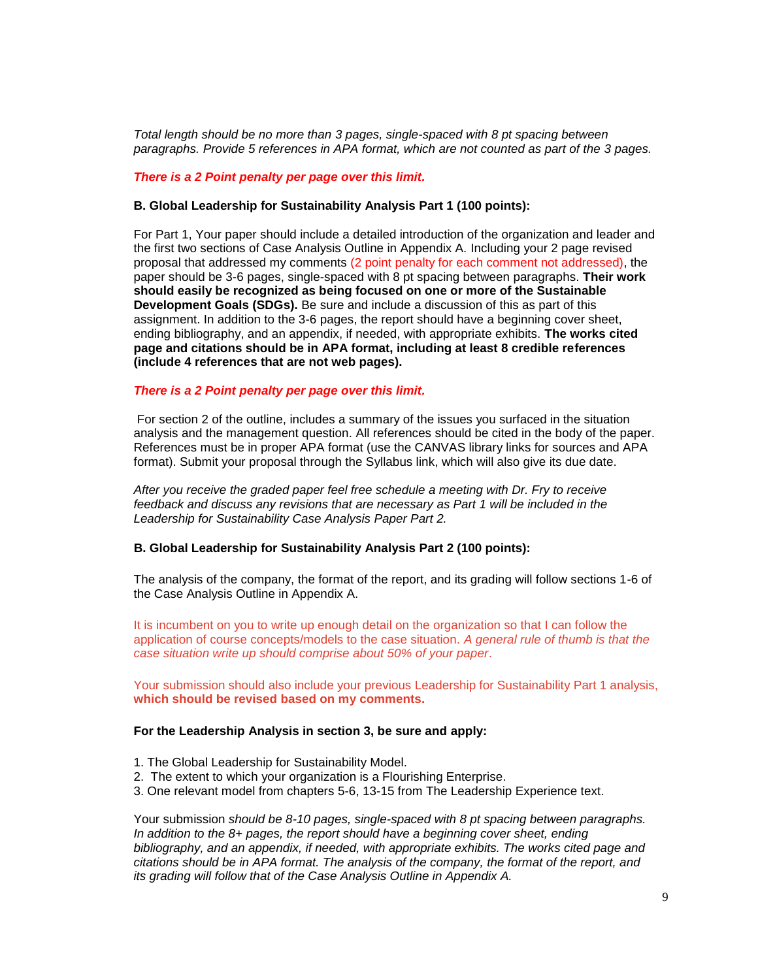*Total length should be no more than 3 pages, single-spaced with 8 pt spacing between paragraphs. Provide 5 references in APA format, which are not counted as part of the 3 pages.*

#### *There is a 2 Point penalty per page over this limit.*

#### **B. Global Leadership for Sustainability Analysis Part 1 (100 points):**

For Part 1, Your paper should include a detailed introduction of the organization and leader and the first two sections of Case Analysis Outline in Appendix A. Including your 2 page revised proposal that addressed my comments (2 point penalty for each comment not addressed), the paper should be 3-6 pages, single-spaced with 8 pt spacing between paragraphs. **Their work should easily be recognized as being focused on one or more of the Sustainable Development Goals (SDGs).** Be sure and include a discussion of this as part of this assignment. In addition to the 3-6 pages, the report should have a beginning cover sheet, ending bibliography, and an appendix, if needed, with appropriate exhibits. **The works cited page and citations should be in APA format, including at least 8 credible references (include 4 references that are not web pages).**

#### *There is a 2 Point penalty per page over this limit.*

For section 2 of the outline, includes a summary of the issues you surfaced in the situation analysis and the management question. All references should be cited in the body of the paper. References must be in proper APA format (use the CANVAS library links for sources and APA format). Submit your proposal through the Syllabus link, which will also give its due date.

*After you receive the graded paper feel free schedule a meeting with Dr. Fry to receive feedback and discuss any revisions that are necessary as Part 1 will be included in the Leadership for Sustainability Case Analysis Paper Part 2.*

#### **B. Global Leadership for Sustainability Analysis Part 2 (100 points):**

The analysis of the company, the format of the report, and its grading will follow sections 1-6 of the [Case Analysis Outline in Appendix A.](https://tamuct.instructure.com/courses/7065/files/711489/download?wrap=1)

It is incumbent on you to write up enough detail on the organization so that I can follow the application of course concepts/models to the case situation. *A general rule of thumb is that the case situation write up should comprise about 50% of your paper*.

Your submission should also include your previous Leadership for Sustainability Part 1 analysis, **which should be revised based on my comments.**

#### **For the Leadership Analysis in section 3, be sure and apply:**

- 1. The Global Leadership for Sustainability Model.
- 2. The extent to which your organization is a Flourishing Enterprise.
- 3. One relevant model from chapters 5-6, 13-15 from The Leadership Experience text.

Your submission *should be 8-10 pages, single-spaced with 8 pt spacing between paragraphs. In addition to the 8+ pages, the report should have a beginning cover sheet, ending bibliography, and an appendix, if needed, with appropriate exhibits. The works cited page and citations should be in APA format. The analysis of the company, the format of the report, and its grading will follow that of the Case Analysis Outline in Appendix A.*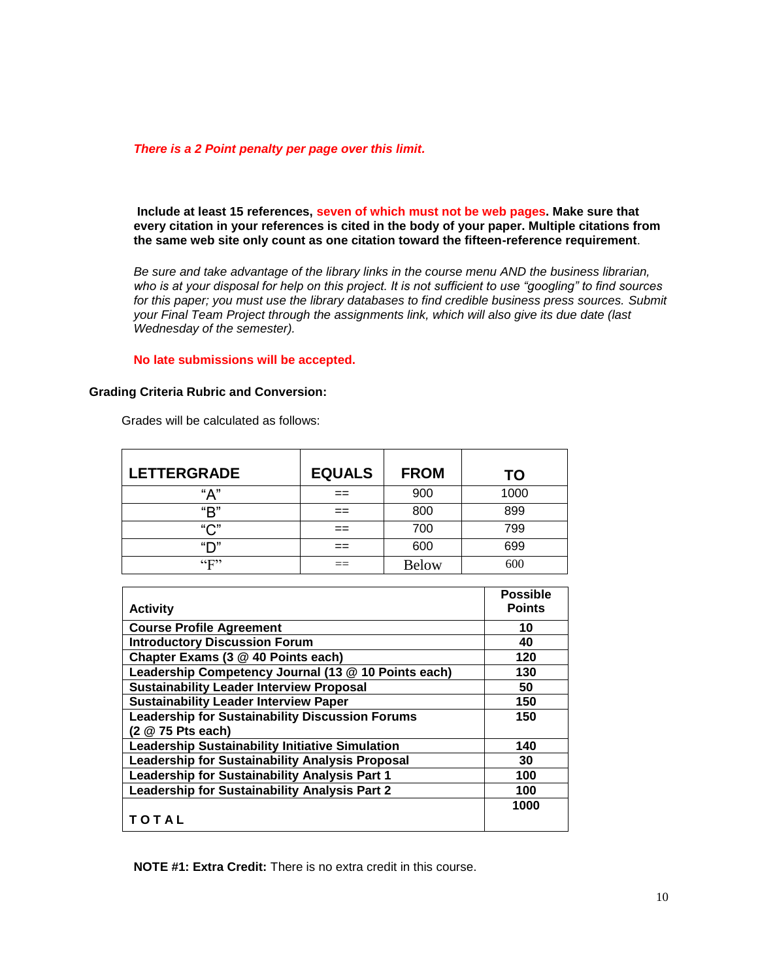#### *There is a 2 Point penalty per page over this limit.*

**Include at least 15 references, seven of which must not be web pages. Make sure that every citation in your references is cited in the body of your paper. Multiple citations from the same web site only count as one citation toward the fifteen-reference requirement**.

*Be sure and take advantage of the library links in the course menu AND the business librarian, who is at your disposal for help on this project. It is not sufficient to use "googling" to find sources for this paper; you must use the library databases to find credible business press sources. Submit your Final Team Project through the assignments link, which will also give its due date (last Wednesday of the semester).*

**No late submissions will be accepted.**

#### **Grading Criteria Rubric and Conversion:**

| <b>LETTERGRADE</b>          | <b>EQUALS</b> | <b>FROM</b>  | TO   |
|-----------------------------|---------------|--------------|------|
| "А"                         |               | 900          | 1000 |
| "R"                         | ==            | 800          | 899  |
| "∩"                         |               | 700          | 799  |
| "ר"                         |               | 600          | 699  |
| $\mathfrak{c}_{\mathbf{F}}$ |               | <b>Below</b> | 600  |

Grades will be calculated as follows:

|                                                        | <b>Possible</b> |  |  |
|--------------------------------------------------------|-----------------|--|--|
| <b>Activity</b>                                        | <b>Points</b>   |  |  |
| <b>Course Profile Agreement</b>                        | 10              |  |  |
| <b>Introductory Discussion Forum</b>                   | 40              |  |  |
| Chapter Exams (3 @ 40 Points each)                     | 120             |  |  |
| Leadership Competency Journal (13 @ 10 Points each)    | 130             |  |  |
| <b>Sustainability Leader Interview Proposal</b>        | 50              |  |  |
| <b>Sustainability Leader Interview Paper</b>           | 150             |  |  |
| <b>Leadership for Sustainability Discussion Forums</b> | 150             |  |  |
| (2 @ 75 Pts each)                                      |                 |  |  |
| <b>Leadership Sustainability Initiative Simulation</b> | 140             |  |  |
| Leadership for Sustainability Analysis Proposal        | 30              |  |  |
| Leadership for Sustainability Analysis Part 1          | 100             |  |  |
| Leadership for Sustainability Analysis Part 2          | 100             |  |  |
|                                                        | 1000            |  |  |
| TOTAL                                                  |                 |  |  |

**NOTE #1: Extra Credit:** There is no extra credit in this course.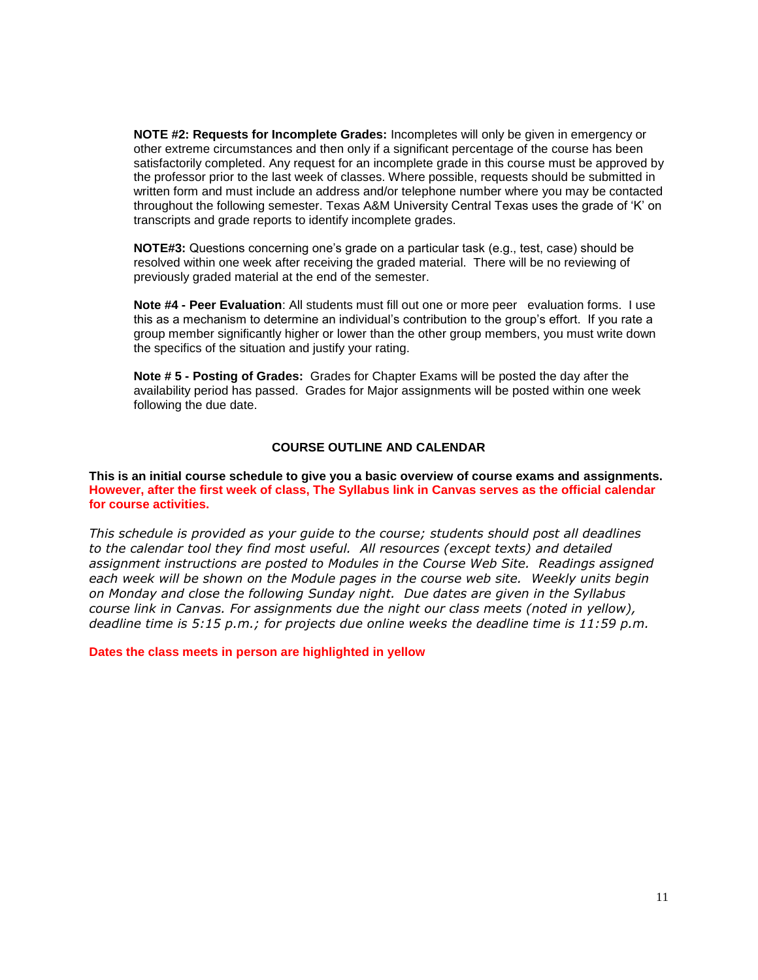**NOTE #2: Requests for Incomplete Grades:** Incompletes will only be given in emergency or other extreme circumstances and then only if a significant percentage of the course has been satisfactorily completed. Any request for an incomplete grade in this course must be approved by the professor prior to the last week of classes. Where possible, requests should be submitted in written form and must include an address and/or telephone number where you may be contacted throughout the following semester. Texas A&M University Central Texas uses the grade of 'K' on transcripts and grade reports to identify incomplete grades.

**NOTE#3:** Questions concerning one's grade on a particular task (e.g., test, case) should be resolved within one week after receiving the graded material. There will be no reviewing of previously graded material at the end of the semester.

**Note #4 - Peer Evaluation**: All students must fill out one or more peer evaluation forms. I use this as a mechanism to determine an individual's contribution to the group's effort. If you rate a group member significantly higher or lower than the other group members, you must write down the specifics of the situation and justify your rating.

**Note # 5 - Posting of Grades:** Grades for Chapter Exams will be posted the day after the availability period has passed. Grades for Major assignments will be posted within one week following the due date.

#### **COURSE OUTLINE AND CALENDAR**

**This is an initial course schedule to give you a basic overview of course exams and assignments. However, after the first week of class, The Syllabus link in Canvas serves as the official calendar for course activities.**

*This schedule is provided as your guide to the course; students should post all deadlines to the calendar tool they find most useful. All resources (except texts) and detailed assignment instructions are posted to Modules in the Course Web Site. Readings assigned each week will be shown on the Module pages in the course web site. Weekly units begin on Monday and close the following Sunday night. Due dates are given in the Syllabus course link in Canvas. For assignments due the night our class meets (noted in yellow), deadline time is 5:15 p.m.; for projects due online weeks the deadline time is 11:59 p.m.* 

**Dates the class meets in person are highlighted in yellow**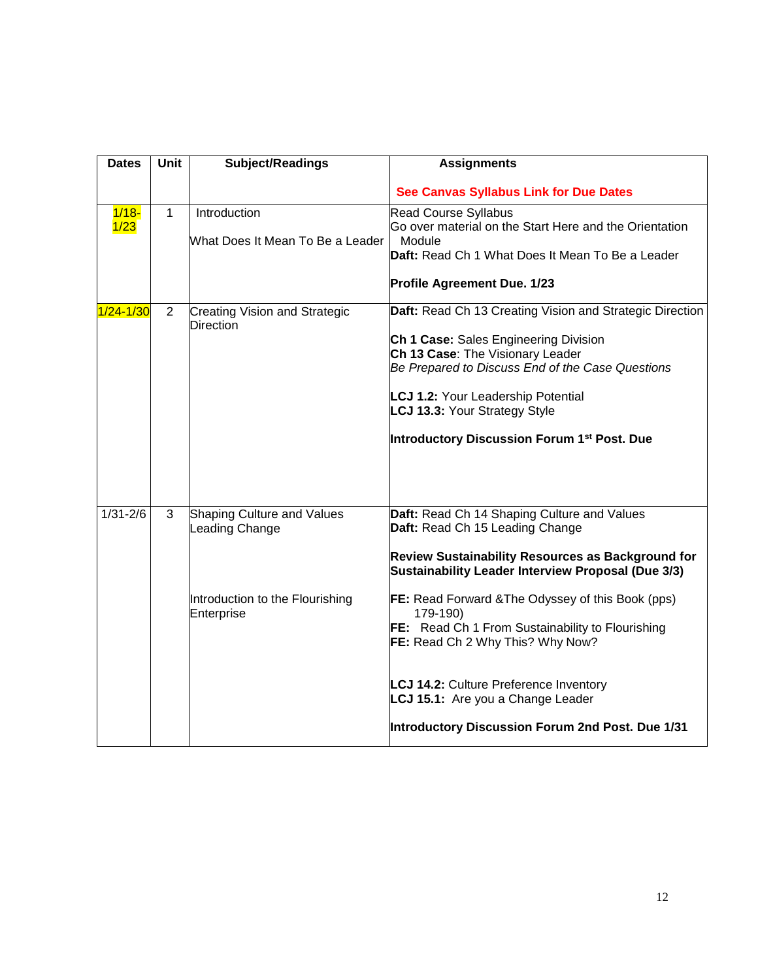| <b>Dates</b>     | <b>Unit</b>    | Subject/Readings                                                                                     | <b>Assignments</b>                                                                                                                                                                                                                                                                                                                                                                                                                                                                                  |
|------------------|----------------|------------------------------------------------------------------------------------------------------|-----------------------------------------------------------------------------------------------------------------------------------------------------------------------------------------------------------------------------------------------------------------------------------------------------------------------------------------------------------------------------------------------------------------------------------------------------------------------------------------------------|
|                  |                |                                                                                                      | <b>See Canvas Syllabus Link for Due Dates</b>                                                                                                                                                                                                                                                                                                                                                                                                                                                       |
| $1/18 -$<br>1/23 | $\mathbf{1}$   | Introduction<br>What Does It Mean To Be a Leader                                                     | <b>Read Course Syllabus</b><br>Go over material on the Start Here and the Orientation<br>Module<br>Daft: Read Ch 1 What Does It Mean To Be a Leader<br><b>Profile Agreement Due. 1/23</b>                                                                                                                                                                                                                                                                                                           |
| $1/24 - 1/30$    | $\overline{2}$ | <b>Creating Vision and Strategic</b><br><b>Direction</b>                                             | Daft: Read Ch 13 Creating Vision and Strategic Direction<br>Ch 1 Case: Sales Engineering Division<br>Ch 13 Case: The Visionary Leader<br>Be Prepared to Discuss End of the Case Questions<br><b>LCJ 1.2: Your Leadership Potential</b><br>LCJ 13.3: Your Strategy Style<br>Introductory Discussion Forum 1 <sup>st</sup> Post. Due                                                                                                                                                                  |
| $1/31 - 2/6$     | 3              | <b>Shaping Culture and Values</b><br>Leading Change<br>Introduction to the Flourishing<br>Enterprise | Daft: Read Ch 14 Shaping Culture and Values<br>Daft: Read Ch 15 Leading Change<br>Review Sustainability Resources as Background for<br>Sustainability Leader Interview Proposal (Due 3/3)<br>FE: Read Forward & The Odyssey of this Book (pps)<br>179-190)<br><b>FE:</b> Read Ch 1 From Sustainability to Flourishing<br>FE: Read Ch 2 Why This? Why Now?<br><b>LCJ 14.2: Culture Preference Inventory</b><br>LCJ 15.1: Are you a Change Leader<br>Introductory Discussion Forum 2nd Post. Due 1/31 |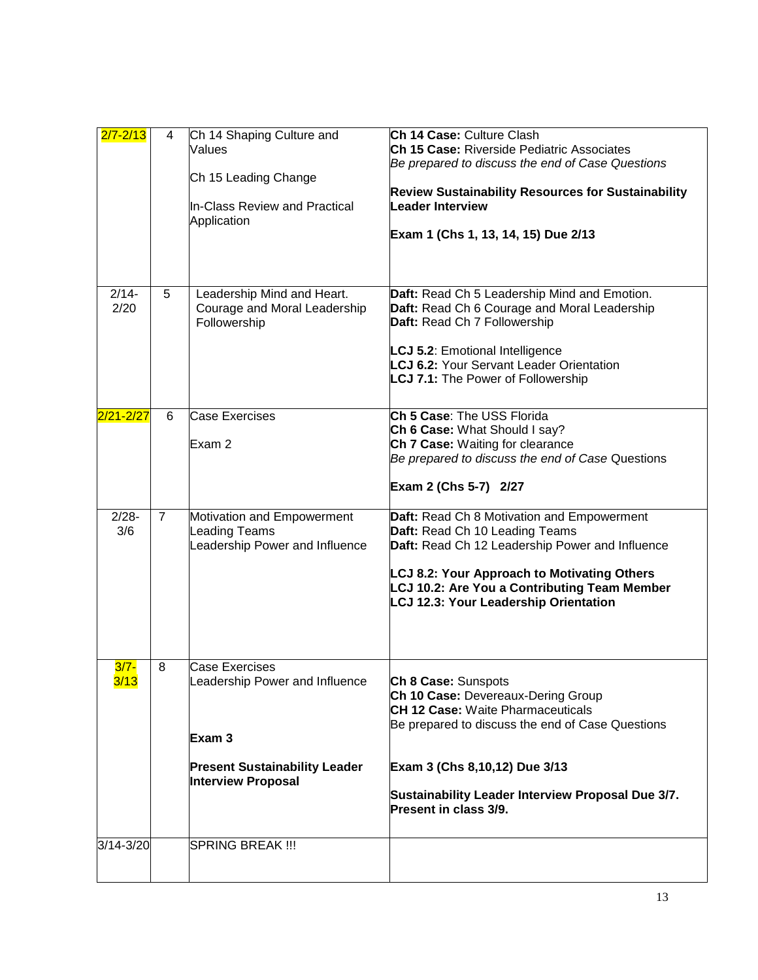| $2/7 - 2/13$    | 4              | Ch 14 Shaping Culture and<br>Values<br>Ch 15 Leading Change<br>In-Class Review and Practical<br>Application                            | Ch 14 Case: Culture Clash<br>Ch 15 Case: Riverside Pediatric Associates<br>Be prepared to discuss the end of Case Questions<br><b>Review Sustainability Resources for Sustainability</b><br><b>Leader Interview</b><br>Exam 1 (Chs 1, 13, 14, 15) Due 2/13                     |
|-----------------|----------------|----------------------------------------------------------------------------------------------------------------------------------------|--------------------------------------------------------------------------------------------------------------------------------------------------------------------------------------------------------------------------------------------------------------------------------|
| $2/14-$<br>2/20 | 5              | Leadership Mind and Heart.<br>Courage and Moral Leadership<br>Followership                                                             | Daft: Read Ch 5 Leadership Mind and Emotion.<br>Daft: Read Ch 6 Courage and Moral Leadership<br>Daft: Read Ch 7 Followership<br>LCJ 5.2: Emotional Intelligence<br><b>LCJ 6.2: Your Servant Leader Orientation</b><br>LCJ 7.1: The Power of Followership                       |
| $2/21 - 2/27$   | 6              | Case Exercises<br>Exam 2                                                                                                               | Ch 5 Case: The USS Florida<br>Ch 6 Case: What Should I say?<br>Ch 7 Case: Waiting for clearance<br>Be prepared to discuss the end of Case Questions<br>Exam 2 (Chs 5-7) 2/27                                                                                                   |
| $2/28 -$<br>3/6 | $\overline{7}$ | Motivation and Empowerment<br>Leading Teams<br>Leadership Power and Influence                                                          | Daft: Read Ch 8 Motivation and Empowerment<br>Daft: Read Ch 10 Leading Teams<br>Daft: Read Ch 12 Leadership Power and Influence<br><b>LCJ 8.2: Your Approach to Motivating Others</b><br>LCJ 10.2: Are You a Contributing Team Member<br>LCJ 12.3: Your Leadership Orientation |
| $3/7 -$<br>3/13 | 8              | <b>Case Exercises</b><br>Leadership Power and Influence<br>Exam 3<br><b>Present Sustainability Leader</b><br><b>Interview Proposal</b> | Ch 8 Case: Sunspots<br>Ch 10 Case: Devereaux-Dering Group<br><b>CH 12 Case:</b> Waite Pharmaceuticals<br>Be prepared to discuss the end of Case Questions<br>Exam 3 (Chs 8,10,12) Due 3/13<br>Sustainability Leader Interview Proposal Due 3/7.<br>Present in class 3/9.       |
| 3/14-3/20       |                | <b>SPRING BREAK !!!</b>                                                                                                                |                                                                                                                                                                                                                                                                                |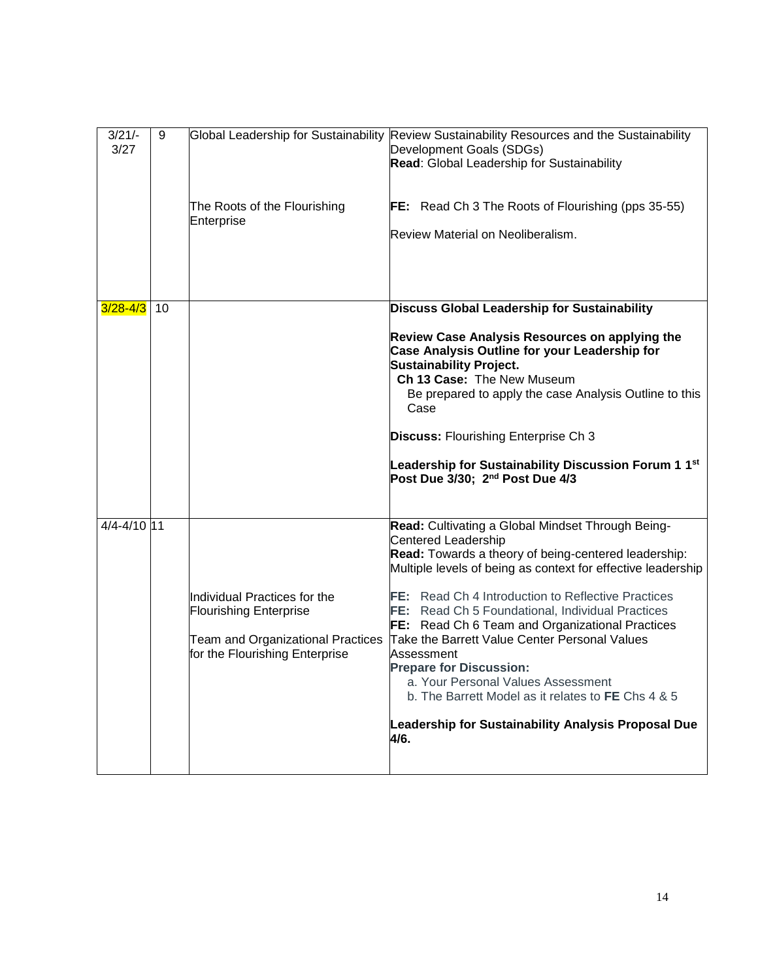| $3/21/-$<br>3/27 | 9  | Global Leadership for Sustainability                                       | Review Sustainability Resources and the Sustainability<br>Development Goals (SDGs)<br><b>Read:</b> Global Leadership for Sustainability                         |
|------------------|----|----------------------------------------------------------------------------|-----------------------------------------------------------------------------------------------------------------------------------------------------------------|
|                  |    | The Roots of the Flourishing                                               | <b>FE:</b> Read Ch 3 The Roots of Flourishing (pps 35-55)                                                                                                       |
|                  |    | Enterprise                                                                 |                                                                                                                                                                 |
|                  |    |                                                                            | Review Material on Neoliberalism.                                                                                                                               |
|                  |    |                                                                            |                                                                                                                                                                 |
| $3/28 - 4/3$     | 10 |                                                                            | Discuss Global Leadership for Sustainability                                                                                                                    |
|                  |    |                                                                            | Review Case Analysis Resources on applying the<br>Case Analysis Outline for your Leadership for<br><b>Sustainability Project.</b><br>Ch 13 Case: The New Museum |
|                  |    |                                                                            | Be prepared to apply the case Analysis Outline to this<br>Case                                                                                                  |
|                  |    |                                                                            | <b>Discuss: Flourishing Enterprise Ch 3</b>                                                                                                                     |
|                  |    |                                                                            | Leadership for Sustainability Discussion Forum 1 1 <sup>st</sup><br>Post Due 3/30; 2 <sup>nd</sup> Post Due 4/3                                                 |
| 4/4-4/10 11      |    |                                                                            | Read: Cultivating a Global Mindset Through Being-                                                                                                               |
|                  |    |                                                                            | <b>Centered Leadership</b>                                                                                                                                      |
|                  |    |                                                                            | Read: Towards a theory of being-centered leadership:<br>Multiple levels of being as context for effective leadership                                            |
|                  |    | Individual Practices for the<br><b>Flourishing Enterprise</b>              | <b>FE:</b> Read Ch 4 Introduction to Reflective Practices<br>FE: Read Ch 5 Foundational, Individual Practices                                                   |
|                  |    | <b>Team and Organizational Practices</b><br>for the Flourishing Enterprise | <b>FE:</b> Read Ch 6 Team and Organizational Practices<br>Take the Barrett Value Center Personal Values<br>Assessment                                           |
|                  |    |                                                                            | <b>Prepare for Discussion:</b>                                                                                                                                  |
|                  |    |                                                                            | a. Your Personal Values Assessment<br>b. The Barrett Model as it relates to FE Chs 4 & 5                                                                        |
|                  |    |                                                                            | Leadership for Sustainability Analysis Proposal Due<br>4/6.                                                                                                     |
|                  |    |                                                                            |                                                                                                                                                                 |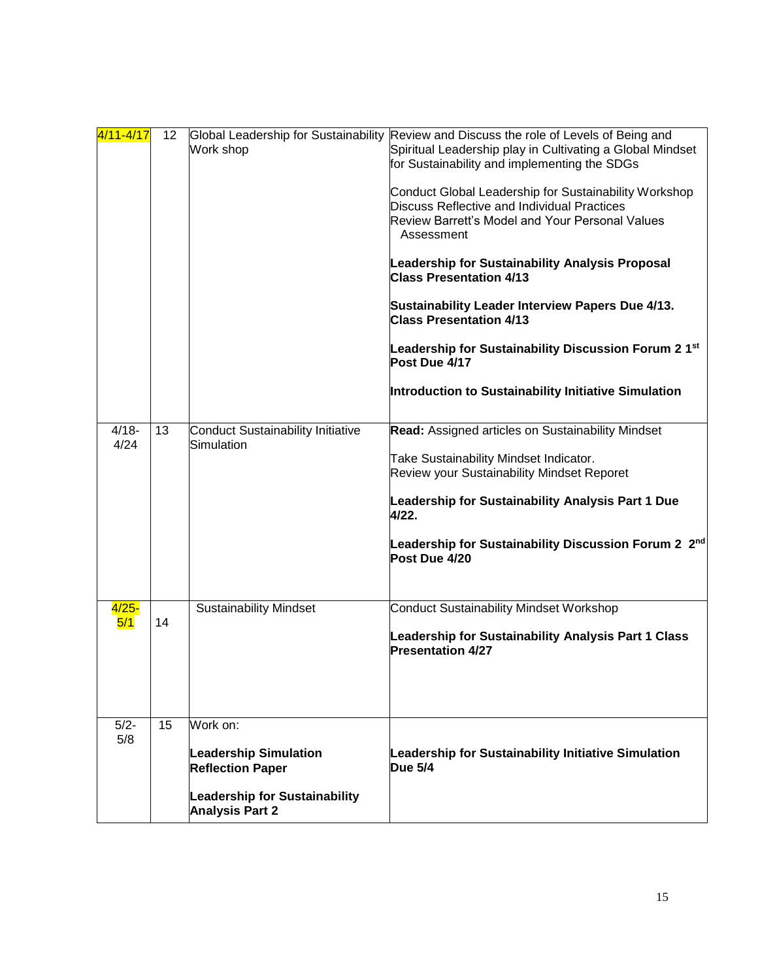| 4/11-4/17        | 12 | Work shop                                                                                                                             | Global Leadership for Sustainability Review and Discuss the role of Levels of Being and<br>Spiritual Leadership play in Cultivating a Global Mindset<br>for Sustainability and implementing the SDGs<br>Conduct Global Leadership for Sustainability Workshop<br><b>Discuss Reflective and Individual Practices</b><br>Review Barrett's Model and Your Personal Values<br>Assessment<br>Leadership for Sustainability Analysis Proposal<br><b>Class Presentation 4/13</b><br>Sustainability Leader Interview Papers Due 4/13.<br><b>Class Presentation 4/13</b><br>Leadership for Sustainability Discussion Forum 2 1st<br>Post Due 4/17<br>Introduction to Sustainability Initiative Simulation |
|------------------|----|---------------------------------------------------------------------------------------------------------------------------------------|--------------------------------------------------------------------------------------------------------------------------------------------------------------------------------------------------------------------------------------------------------------------------------------------------------------------------------------------------------------------------------------------------------------------------------------------------------------------------------------------------------------------------------------------------------------------------------------------------------------------------------------------------------------------------------------------------|
| $4/18 -$<br>4/24 | 13 | <b>Conduct Sustainability Initiative</b><br>Simulation                                                                                | Read: Assigned articles on Sustainability Mindset<br>Take Sustainability Mindset Indicator.<br><b>Review your Sustainability Mindset Reporet</b><br>Leadership for Sustainability Analysis Part 1 Due<br>4/22.<br>Leadership for Sustainability Discussion Forum 2 2nd<br>Post Due 4/20                                                                                                                                                                                                                                                                                                                                                                                                          |
| $4/25 -$<br>5/1  | 14 | <b>Sustainability Mindset</b>                                                                                                         | <b>Conduct Sustainability Mindset Workshop</b><br>Leadership for Sustainability Analysis Part 1 Class<br><b>Presentation 4/27</b>                                                                                                                                                                                                                                                                                                                                                                                                                                                                                                                                                                |
| $5/2 -$<br>5/8   | 15 | Work on:<br><b>Leadership Simulation</b><br><b>Reflection Paper</b><br><b>Leadership for Sustainability</b><br><b>Analysis Part 2</b> | Leadership for Sustainability Initiative Simulation<br><b>Due 5/4</b>                                                                                                                                                                                                                                                                                                                                                                                                                                                                                                                                                                                                                            |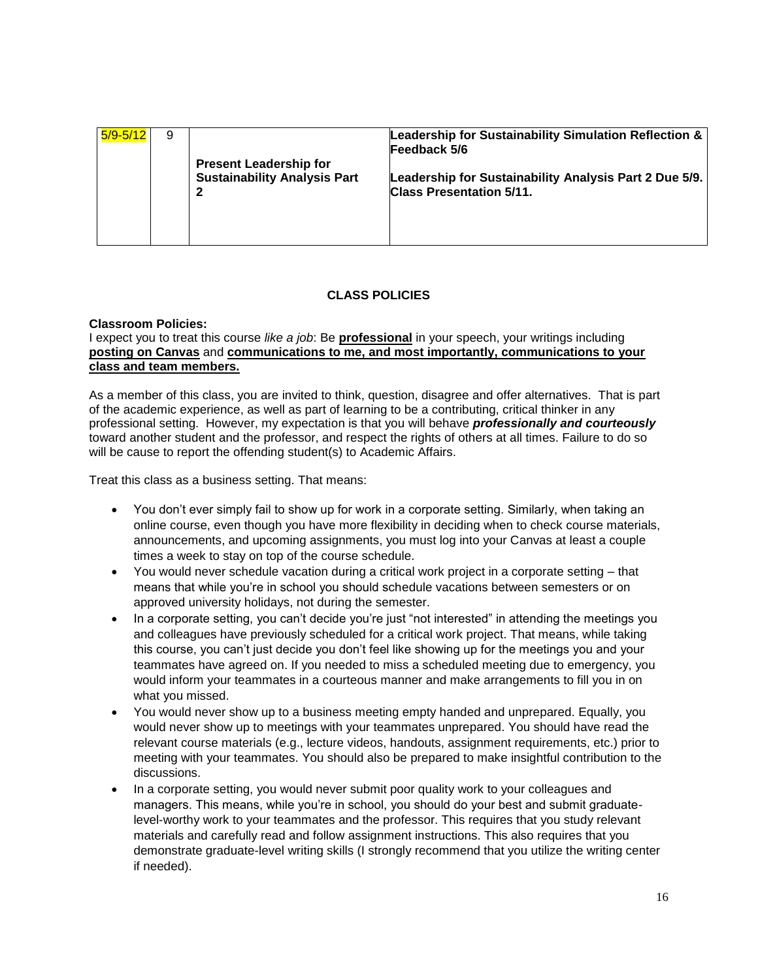| 5/9-5/12 | 9 |                                                                           | Leadership for Sustainability Simulation Reflection &<br>Feedback 5/6                     |
|----------|---|---------------------------------------------------------------------------|-------------------------------------------------------------------------------------------|
|          |   | <b>Present Leadership for</b><br><b>Sustainability Analysis Part</b><br>2 | Leadership for Sustainability Analysis Part 2 Due 5/9.<br><b>Class Presentation 5/11.</b> |
|          |   |                                                                           |                                                                                           |

## **CLASS POLICIES**

#### **Classroom Policies:**

## I expect you to treat this course *like a job*: Be **professional** in your speech, your writings including **posting on Canvas** and **communications to me, and most importantly, communications to your class and team members.**

As a member of this class, you are invited to think, question, disagree and offer alternatives. That is part of the academic experience, as well as part of learning to be a contributing, critical thinker in any professional setting. However, my expectation is that you will behave *professionally and courteously* toward another student and the professor, and respect the rights of others at all times. Failure to do so will be cause to report the offending student(s) to Academic Affairs.

Treat this class as a business setting. That means:

- You don't ever simply fail to show up for work in a corporate setting. Similarly, when taking an online course, even though you have more flexibility in deciding when to check course materials, announcements, and upcoming assignments, you must log into your Canvas at least a couple times a week to stay on top of the course schedule.
- You would never schedule vacation during a critical work project in a corporate setting that means that while you're in school you should schedule vacations between semesters or on approved university holidays, not during the semester.
- In a corporate setting, you can't decide you're just "not interested" in attending the meetings you and colleagues have previously scheduled for a critical work project. That means, while taking this course, you can't just decide you don't feel like showing up for the meetings you and your teammates have agreed on. If you needed to miss a scheduled meeting due to emergency, you would inform your teammates in a courteous manner and make arrangements to fill you in on what you missed.
- You would never show up to a business meeting empty handed and unprepared. Equally, you would never show up to meetings with your teammates unprepared. You should have read the relevant course materials (e.g., lecture videos, handouts, assignment requirements, etc.) prior to meeting with your teammates. You should also be prepared to make insightful contribution to the discussions.
- In a corporate setting, you would never submit poor quality work to your colleagues and managers. This means, while you're in school, you should do your best and submit graduatelevel-worthy work to your teammates and the professor. This requires that you study relevant materials and carefully read and follow assignment instructions. This also requires that you demonstrate graduate-level writing skills (I strongly recommend that you utilize the writing center if needed).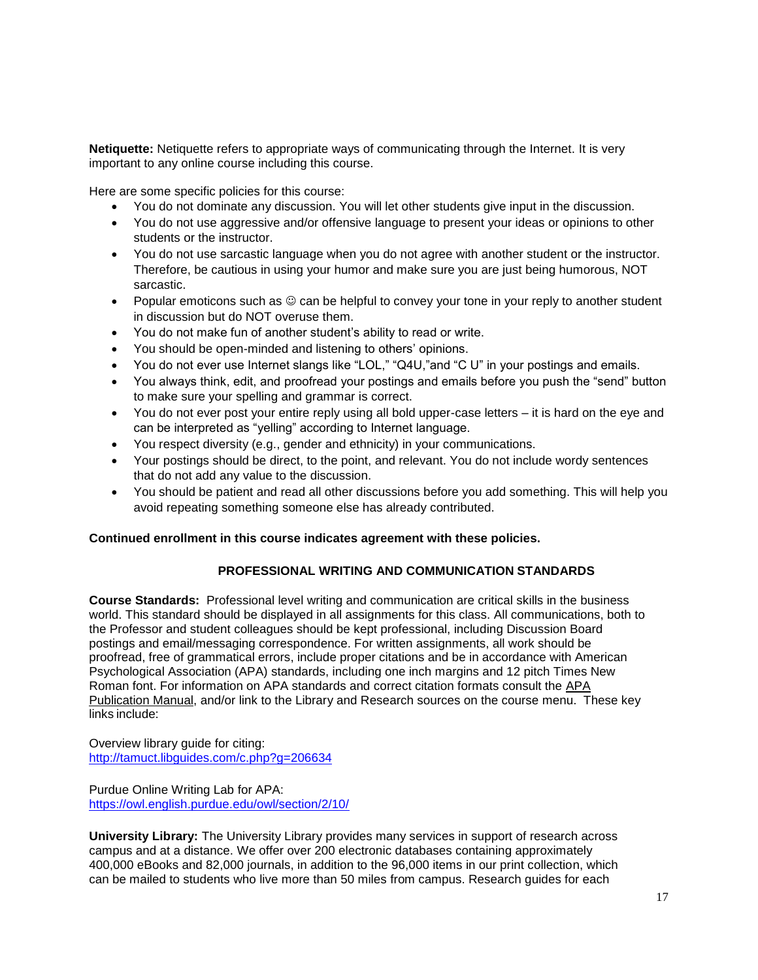**Netiquette:** Netiquette refers to appropriate ways of communicating through the Internet. It is very important to any online course including this course.

Here are some specific policies for this course:

- You do not dominate any discussion. You will let other students give input in the discussion.
- You do not use aggressive and/or offensive language to present your ideas or opinions to other students or the instructor.
- You do not use sarcastic language when you do not agree with another student or the instructor. Therefore, be cautious in using your humor and make sure you are just being humorous, NOT sarcastic.
- Popular emoticons such as  $\odot$  can be helpful to convey your tone in your reply to another student in discussion but do NOT overuse them.
- You do not make fun of another student's ability to read or write.
- You should be open-minded and listening to others' opinions.
- You do not ever use Internet slangs like "LOL," "Q4U,"and "C U" in your postings and emails.
- You always think, edit, and proofread your postings and emails before you push the "send" button to make sure your spelling and grammar is correct.
- You do not ever post your entire reply using all bold upper-case letters it is hard on the eye and can be interpreted as "yelling" according to Internet language.
- You respect diversity (e.g., gender and ethnicity) in your communications.
- Your postings should be direct, to the point, and relevant. You do not include wordy sentences that do not add any value to the discussion.
- You should be patient and read all other discussions before you add something. This will help you avoid repeating something someone else has already contributed.

## **Continued enrollment in this course indicates agreement with these policies.**

## **PROFESSIONAL WRITING AND COMMUNICATION STANDARDS**

**Course Standards:** Professional level writing and communication are critical skills in the business world. This standard should be displayed in all assignments for this class. All communications, both to the Professor and student colleagues should be kept professional, including Discussion Board postings and email/messaging correspondence. For written assignments, all work should be proofread, free of grammatical errors, include proper citations and be in accordance with American Psychological Association (APA) standards, including one inch margins and 12 pitch Times New Roman font. For information on APA standards and correct citation formats consult the APA Publication Manual, and/or link to the Library and Research sources on the course menu. These key links include:

Overview library guide for citing: <http://tamuct.libguides.com/c.php?g=206634>

Purdue Online Writing Lab for APA: <https://owl.english.purdue.edu/owl/section/2/10/>

**University Library:** The University Library provides many services in support of research across campus and at a distance. We offer over 200 electronic databases containing approximately 400,000 eBooks and 82,000 journals, in addition to the 96,000 items in our print collection, which can be mailed to students who live more than 50 miles from campus. Research guides for each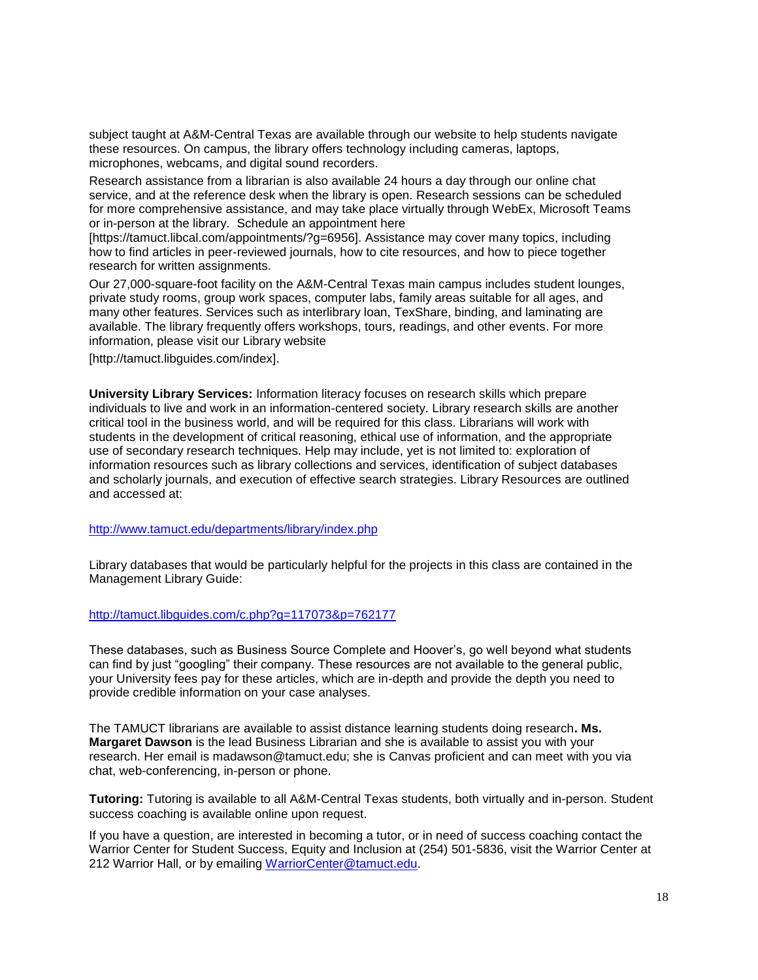subject taught at A&M-Central Texas are available through our website to help students navigate these resources. On campus, the library offers technology including cameras, laptops, microphones, webcams, and digital sound recorders.

Research assistance from a librarian is also available 24 hours a day through our online chat service, and at the reference desk when the library is open. Research sessions can be scheduled for more comprehensive assistance, and may take place virtually through WebEx, Microsoft Teams or in-person at the library. Schedule an appointment here

[https://tamuct.libcal.com/appointments/?g=6956]. Assistance may cover many topics, including how to find articles in peer-reviewed journals, how to cite resources, and how to piece together research for written assignments.

Our 27,000-square-foot facility on the A&M-Central Texas main campus includes student lounges, private study rooms, group work spaces, computer labs, family areas suitable for all ages, and many other features. Services such as interlibrary loan, TexShare, binding, and laminating are available. The library frequently offers workshops, tours, readings, and other events. For more information, please visit our Library website

[http://tamuct.libguides.com/index].

**University Library Services:** Information literacy focuses on research skills which prepare individuals to live and work in an information-centered society. Library research skills are another critical tool in the business world, and will be required for this class. Librarians will work with students in the development of critical reasoning, ethical use of information, and the appropriate use of secondary research techniques. Help may include, yet is not limited to: exploration of information resources such as library collections and services, identification of subject databases and scholarly journals, and execution of effective search strategies. Library Resources are outlined and accessed at:

## <http://www.tamuct.edu/departments/library/index.php>

Library databases that would be particularly helpful for the projects in this class are contained in the Management Library Guide:

## <http://tamuct.libguides.com/c.php?g=117073&p=762177>

These databases, such as Business Source Complete and Hoover's, go well beyond what students can find by just "googling" their company. These resources are not available to the general public, your University fees pay for these articles, which are in-depth and provide the depth you need to provide credible information on your case analyses.

The TAMUCT librarians are available to assist distance learning students doing research**. Ms. Margaret Dawson** is the lead Business Librarian and she is available to assist you with your research. Her email is madawson@tamuct.edu; she is Canvas proficient and can meet with you via chat, web-conferencing, in-person or phone.

**Tutoring:** Tutoring is available to all A&M-Central Texas students, both virtually and in-person. Student success coaching is available online upon request.

If you have a question, are interested in becoming a tutor, or in need of success coaching contact the Warrior Center for Student Success, Equity and Inclusion at (254) 501-5836, visit the Warrior Center at 212 Warrior Hall, or by emailing [WarriorCenter@tamuct.edu.](about:blank)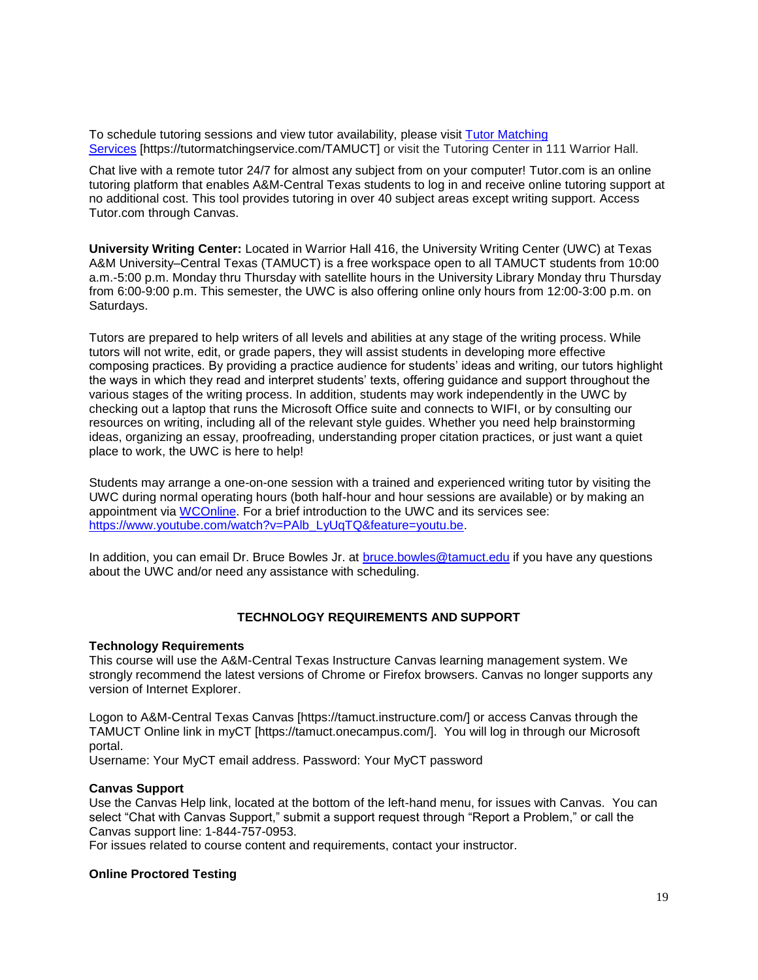To schedule tutoring sessions and view tutor availability, please visit Tutor [Matching](about:blank) [Services](about:blank) [https://tutormatchingservice.com/TAMUCT] or visit the Tutoring Center in 111 Warrior Hall.

Chat live with a remote tutor 24/7 for almost any subject from on your computer! Tutor.com is an online tutoring platform that enables A&M-Central Texas students to log in and receive online tutoring support at no additional cost. This tool provides tutoring in over 40 subject areas except writing support. Access Tutor.com through Canvas.

**University Writing Center:** Located in Warrior Hall 416, the University Writing Center (UWC) at Texas A&M University–Central Texas (TAMUCT) is a free workspace open to all TAMUCT students from 10:00 a.m.-5:00 p.m. Monday thru Thursday with satellite hours in the University Library Monday thru Thursday from 6:00-9:00 p.m. This semester, the UWC is also offering online only hours from 12:00-3:00 p.m. on Saturdays.

Tutors are prepared to help writers of all levels and abilities at any stage of the writing process. While tutors will not write, edit, or grade papers, they will assist students in developing more effective composing practices. By providing a practice audience for students' ideas and writing, our tutors highlight the ways in which they read and interpret students' texts, offering guidance and support throughout the various stages of the writing process. In addition, students may work independently in the UWC by checking out a laptop that runs the Microsoft Office suite and connects to WIFI, or by consulting our resources on writing, including all of the relevant style guides. Whether you need help brainstorming ideas, organizing an essay, proofreading, understanding proper citation practices, or just want a quiet place to work, the UWC is here to help!

Students may arrange a one-on-one session with a trained and experienced writing tutor by visiting the UWC during normal operating hours (both half-hour and hour sessions are available) or by making an appointment via [WCOnline.](https://tamuct.mywconline.com/) For a brief introduction to the UWC and its services see: [https://www.youtube.com/watch?v=PAlb\\_LyUqTQ&feature=youtu.be.](https://www.youtube.com/watch?v=PAlb_LyUqTQ&feature=youtu.be)

In addition, you can email Dr. Bruce Bowles Jr. at [bruce.bowles@tamuct.edu](mailto:bruce.bowles@tamuct.edu) if you have any questions about the UWC and/or need any assistance with scheduling.

## **TECHNOLOGY REQUIREMENTS AND SUPPORT**

#### **Technology Requirements**

This course will use the A&M-Central Texas Instructure Canvas learning management system. We strongly recommend the latest versions of Chrome or Firefox browsers. Canvas no longer supports any version of Internet Explorer.

Logon to A&M-Central Texas Canvas [https://tamuct.instructure.com/] or access Canvas through the TAMUCT Online link in myCT [https://tamuct.onecampus.com/]. You will log in through our Microsoft portal.

Username: Your MyCT email address. Password: Your MyCT password

#### **Canvas Support**

Use the Canvas Help link, located at the bottom of the left-hand menu, for issues with Canvas. You can select "Chat with Canvas Support," submit a support request through "Report a Problem," or call the Canvas support line: 1-844-757-0953.

For issues related to course content and requirements, contact your instructor.

#### **Online Proctored Testing**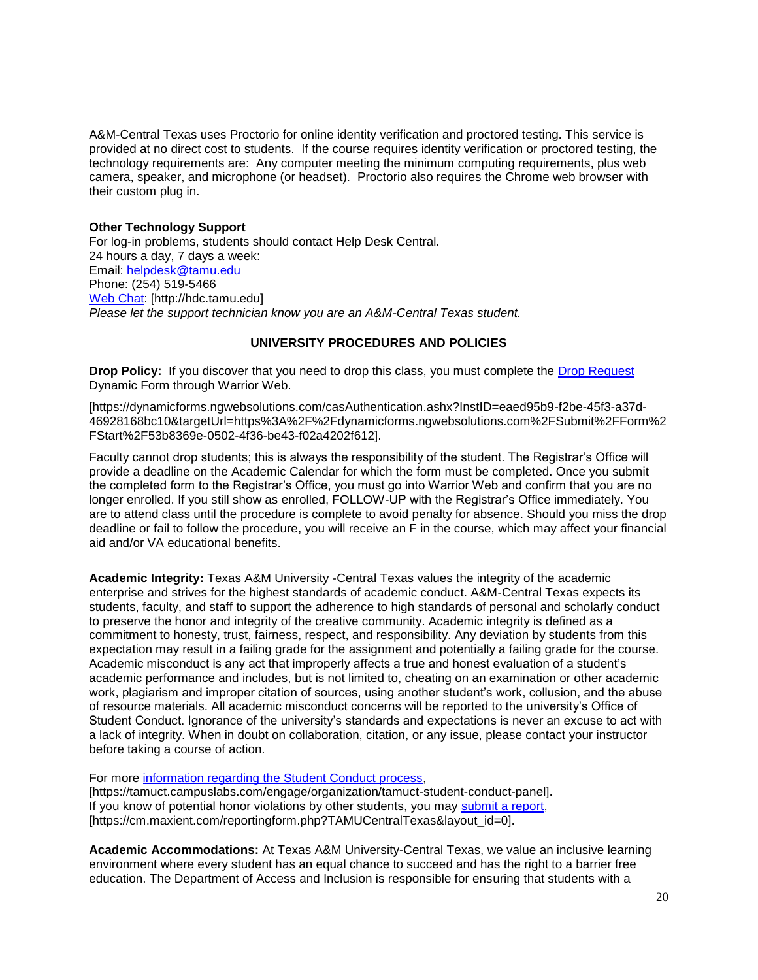A&M-Central Texas uses Proctorio for online identity verification and proctored testing. This service is provided at no direct cost to students. If the course requires identity verification or proctored testing, the technology requirements are: Any computer meeting the minimum computing requirements, plus web camera, speaker, and microphone (or headset). Proctorio also requires the Chrome web browser with their custom plug in.

## **Other Technology Support**

For log-in problems, students should contact Help Desk Central. 24 hours a day, 7 days a week: Email: [helpdesk@tamu.edu](mailto:helpdesk@tamu.edu) Phone: (254) 519-5466 [Web Chat:](http://hdc.tamu.edu/) [http://hdc.tamu.edu] *Please let the support technician know you are an A&M-Central Texas student.*

## **UNIVERSITY PROCEDURES AND POLICIES**

**Drop Policy:** If you discover that you need to drop this class, you must complete the [Drop Request](about:blank) Dynamic Form through Warrior Web.

[https://dynamicforms.ngwebsolutions.com/casAuthentication.ashx?InstID=eaed95b9-f2be-45f3-a37d-46928168bc10&targetUrl=https%3A%2F%2Fdynamicforms.ngwebsolutions.com%2FSubmit%2FForm%2 FStart%2F53b8369e-0502-4f36-be43-f02a4202f612].

Faculty cannot drop students; this is always the responsibility of the student. The Registrar's Office will provide a deadline on the Academic Calendar for which the form must be completed. Once you submit the completed form to the Registrar's Office, you must go into Warrior Web and confirm that you are no longer enrolled. If you still show as enrolled, FOLLOW-UP with the Registrar's Office immediately. You are to attend class until the procedure is complete to avoid penalty for absence. Should you miss the drop deadline or fail to follow the procedure, you will receive an F in the course, which may affect your financial aid and/or VA educational benefits.

**Academic Integrity:** Texas A&M University -Central Texas values the integrity of the academic enterprise and strives for the highest standards of academic conduct. A&M-Central Texas expects its students, faculty, and staff to support the adherence to high standards of personal and scholarly conduct to preserve the honor and integrity of the creative community. Academic integrity is defined as a commitment to honesty, trust, fairness, respect, and responsibility. Any deviation by students from this expectation may result in a failing grade for the assignment and potentially a failing grade for the course. Academic misconduct is any act that improperly affects a true and honest evaluation of a student's academic performance and includes, but is not limited to, cheating on an examination or other academic work, plagiarism and improper citation of sources, using another student's work, collusion, and the abuse of resource materials. All academic misconduct concerns will be reported to the university's Office of Student Conduct. Ignorance of the university's standards and expectations is never an excuse to act with a lack of integrity. When in doubt on collaboration, citation, or any issue, please contact your instructor before taking a course of action.

For more [information regarding the Student Conduct process,](https://tamuct.campuslabs.com/engage/organization/tamuct-student-conduct-pane) [https://tamuct.campuslabs.com/engage/organization/tamuct-student-conduct-panel].

If you know of potential honor violations by other students, you may [submit a report,](https://cm.maxient.com/reportingform.php?TAMUCentralTexas&layout_id=0) [https://cm.maxient.com/reportingform.php?TAMUCentralTexas&layout\_id=0].

**Academic Accommodations:** At Texas A&M University-Central Texas, we value an inclusive learning environment where every student has an equal chance to succeed and has the right to a barrier free education. The Department of Access and Inclusion is responsible for ensuring that students with a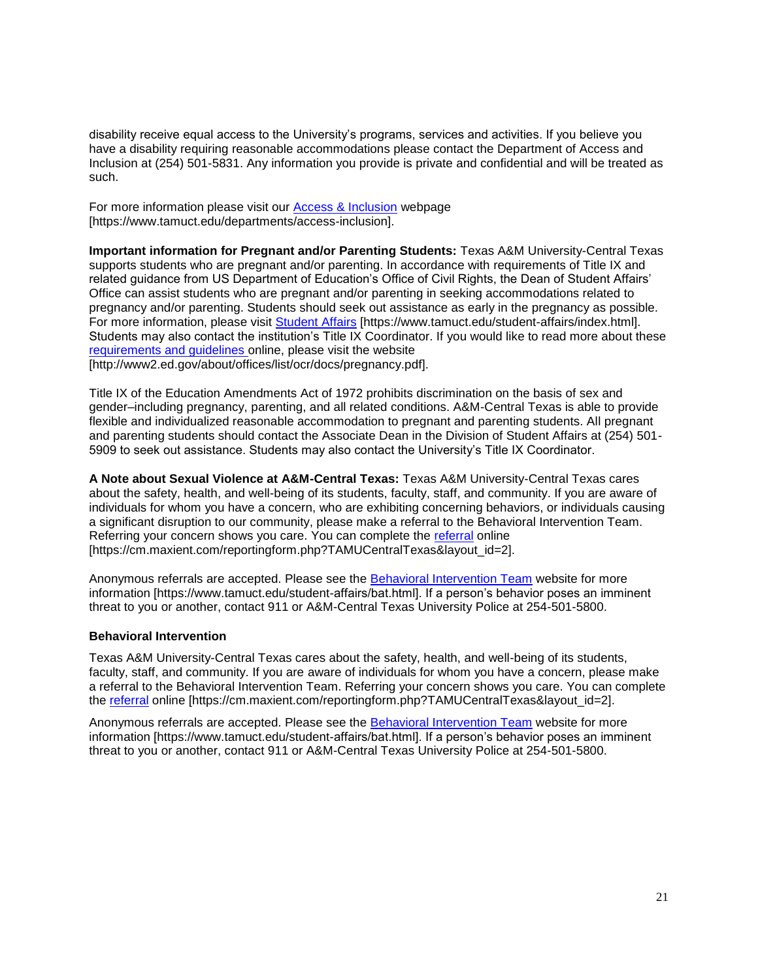disability receive equal access to the University's programs, services and activities. If you believe you have a disability requiring reasonable accommodations please contact the Department of Access and Inclusion at (254) 501-5831. Any information you provide is private and confidential and will be treated as such.

For more information please visit our [Access & Inclusion](http://www.tamuct.edu/departments/access-inclusion) webpage [https://www.tamuct.edu/departments/access-inclusion].

**Important information for Pregnant and/or Parenting Students:** Texas A&M University-Central Texas supports students who are pregnant and/or parenting. In accordance with requirements of Title IX and related guidance from US Department of Education's Office of Civil Rights, the Dean of Student Affairs' Office can assist students who are pregnant and/or parenting in seeking accommodations related to pregnancy and/or parenting. Students should seek out assistance as early in the pregnancy as possible. For more information, please visit [Student Affairs](about:blank) [https://www.tamuct.edu/student-affairs/index.html]. Students may also contact the institution's Title IX Coordinator. If you would like to read more about these [requirements and guidelines](about:blank) online, please visit the website [http://www2.ed.gov/about/offices/list/ocr/docs/pregnancy.pdf].

Title IX of the Education Amendments Act of 1972 prohibits discrimination on the basis of sex and gender–including pregnancy, parenting, and all related conditions. A&M-Central Texas is able to provide flexible and individualized reasonable accommodation to pregnant and parenting students. All pregnant and parenting students should contact the Associate Dean in the Division of Student Affairs at (254) 501- 5909 to seek out assistance. Students may also contact the University's Title IX Coordinator.

**A Note about Sexual Violence at A&M-Central Texas:** Texas A&M University-Central Texas cares about the safety, health, and well-being of its students, faculty, staff, and community. If you are aware of individuals for whom you have a concern, who are exhibiting concerning behaviors, or individuals causing a significant disruption to our community, please make a referral to the Behavioral Intervention Team. Referring your concern shows you care. You can complete the [referral](about:blank) online [https://cm.maxient.com/reportingform.php?TAMUCentralTexas&layout\_id=2].

Anonymous referrals are accepted. Please see the **Behavioral Intervention Team** website for more information [https://www.tamuct.edu/student-affairs/bat.html]. If a person's behavior poses an imminent threat to you or another, contact 911 or A&M-Central Texas University Police at 254-501-5800.

## **Behavioral Intervention**

Texas A&M University-Central Texas cares about the safety, health, and well-being of its students, faculty, staff, and community. If you are aware of individuals for whom you have a concern, please make a referral to the Behavioral Intervention Team. Referring your concern shows you care. You can complete the [referral](about:blank) online [https://cm.maxient.com/reportingform.php?TAMUCentralTexas&layout\_id=2].

Anonymous referrals are accepted. Please see the [Behavioral Intervention Team](about:blank) website for more information [https://www.tamuct.edu/student-affairs/bat.html]. If a person's behavior poses an imminent threat to you or another, contact 911 or A&M-Central Texas University Police at 254-501-5800.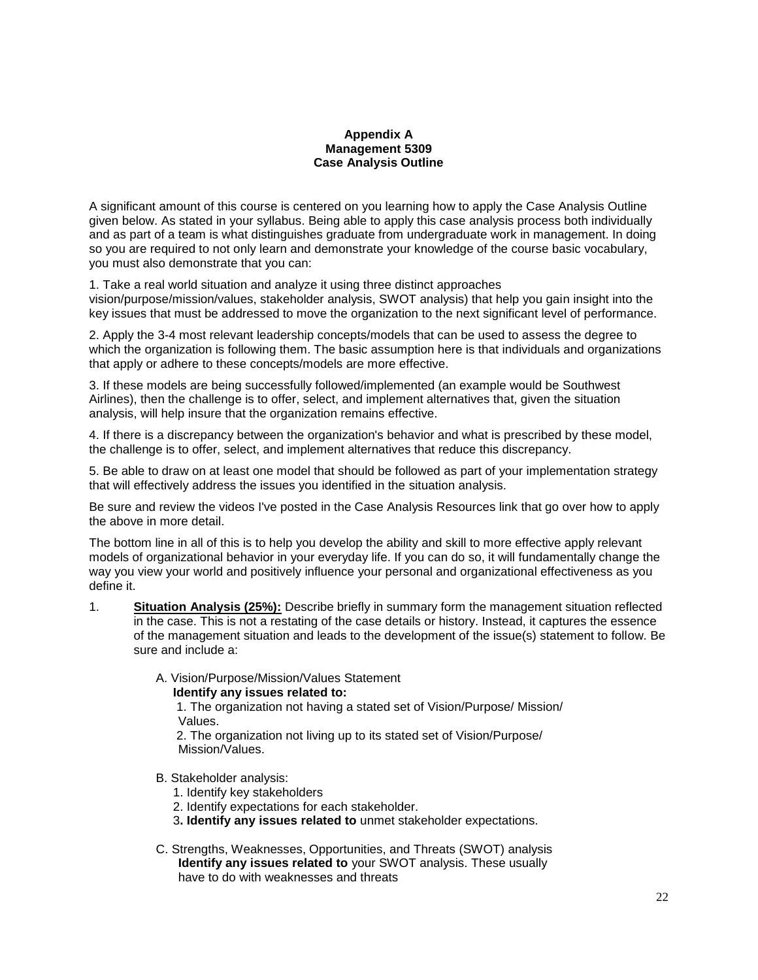## **Appendix A Management 5309 Case Analysis Outline**

A significant amount of this course is centered on you learning how to apply the Case Analysis Outline given below. As stated in your syllabus. Being able to apply this case analysis process both individually and as part of a team is what distinguishes graduate from undergraduate work in management. In doing so you are required to not only learn and demonstrate your knowledge of the course basic vocabulary, you must also demonstrate that you can:

1. Take a real world situation and analyze it using three distinct approaches

vision/purpose/mission/values, stakeholder analysis, SWOT analysis) that help you gain insight into the key issues that must be addressed to move the organization to the next significant level of performance.

2. Apply the 3-4 most relevant leadership concepts/models that can be used to assess the degree to which the organization is following them. The basic assumption here is that individuals and organizations that apply or adhere to these concepts/models are more effective.

3. If these models are being successfully followed/implemented (an example would be Southwest Airlines), then the challenge is to offer, select, and implement alternatives that, given the situation analysis, will help insure that the organization remains effective.

4. If there is a discrepancy between the organization's behavior and what is prescribed by these model, the challenge is to offer, select, and implement alternatives that reduce this discrepancy.

5. Be able to draw on at least one model that should be followed as part of your implementation strategy that will effectively address the issues you identified in the situation analysis.

Be sure and review the videos I've posted in the Case Analysis Resources link that go over how to apply the above in more detail.

The bottom line in all of this is to help you develop the ability and skill to more effective apply relevant models of organizational behavior in your everyday life. If you can do so, it will fundamentally change the way you view your world and positively influence your personal and organizational effectiveness as you define it.

- 1. **Situation Analysis (25%):** Describe briefly in summary form the management situation reflected in the case. This is not a restating of the case details or history. Instead, it captures the essence of the management situation and leads to the development of the issue(s) statement to follow. Be sure and include a:
	- A. Vision/Purpose/Mission/Values Statement
		- **Identify any issues related to:**

 1. The organization not having a stated set of Vision/Purpose/ Mission/ Values.

 2. The organization not living up to its stated set of Vision/Purpose/ Mission/Values.

- B. Stakeholder analysis:
	- 1. Identify key stakeholders
	- 2. Identify expectations for each stakeholder.
	- 3**. Identify any issues related to** unmet stakeholder expectations.
- C. Strengths, Weaknesses, Opportunities, and Threats (SWOT) analysis **Identify any issues related to** your SWOT analysis. These usually have to do with weaknesses and threats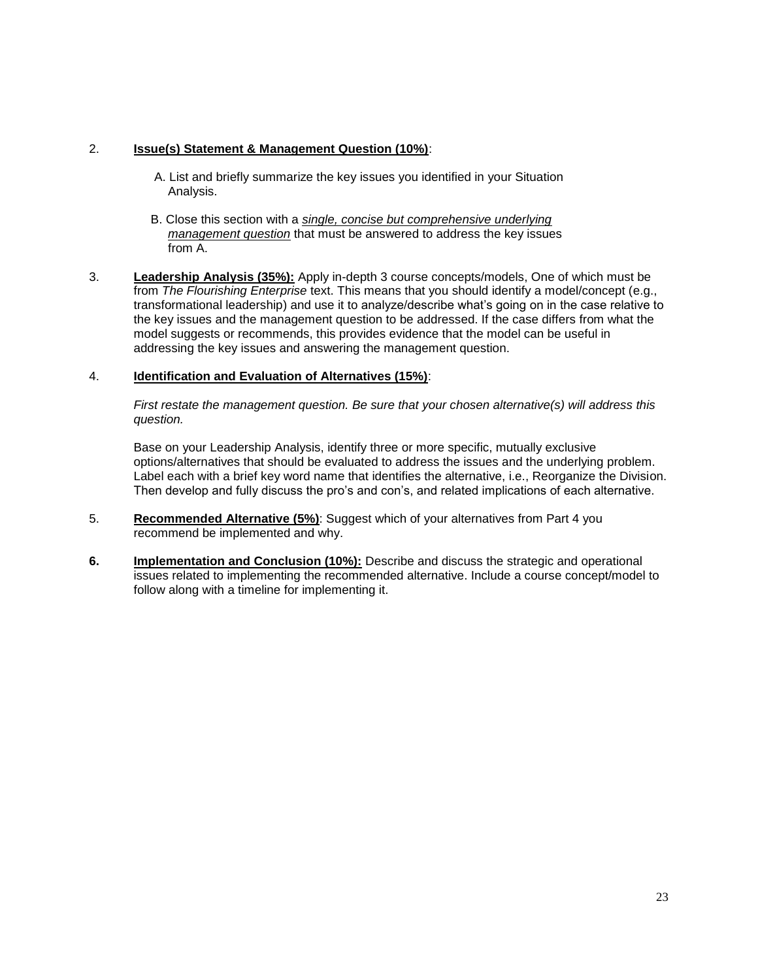## 2. **Issue(s) Statement & Management Question (10%)**:

- A. List and briefly summarize the key issues you identified in your Situation Analysis.
- B. Close this section with a *single, concise but comprehensive underlying management question* that must be answered to address the key issues from A.
- 3. **Leadership Analysis (35%):** Apply in-depth 3 course concepts/models, One of which must be from *The Flourishing Enterprise* text. This means that you should identify a model/concept (e.g., transformational leadership) and use it to analyze/describe what's going on in the case relative to the key issues and the management question to be addressed. If the case differs from what the model suggests or recommends, this provides evidence that the model can be useful in addressing the key issues and answering the management question.

## 4. **Identification and Evaluation of Alternatives (15%)**:

*First restate the management question. Be sure that your chosen alternative(s) will address this question.*

Base on your Leadership Analysis, identify three or more specific, mutually exclusive options/alternatives that should be evaluated to address the issues and the underlying problem. Label each with a brief key word name that identifies the alternative, i.e., Reorganize the Division. Then develop and fully discuss the pro's and con's, and related implications of each alternative.

- 5. **Recommended Alternative (5%)**: Suggest which of your alternatives from Part 4 you recommend be implemented and why.
- **6. Implementation and Conclusion (10%):** Describe and discuss the strategic and operational issues related to implementing the recommended alternative. Include a course concept/model to follow along with a timeline for implementing it.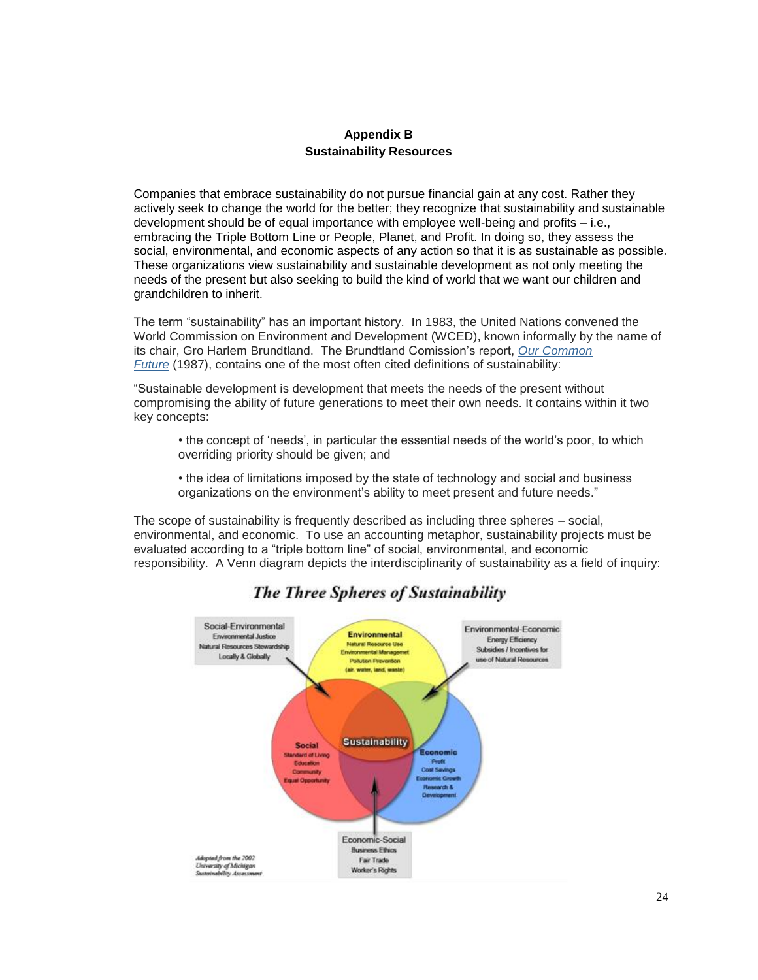## **Appendix B Sustainability Resources**

Companies that embrace sustainability do not pursue financial gain at any cost. Rather they actively seek to change the world for the better; they recognize that sustainability and sustainable development should be of equal importance with employee well-being and profits – i.e., embracing the Triple Bottom Line or People, Planet, and Profit. In doing so, they assess the social, environmental, and economic aspects of any action so that it is as sustainable as possible. These organizations view sustainability and sustainable development as not only meeting the needs of the present but also seeking to build the kind of world that we want our children and grandchildren to inherit.

The term "sustainability" has an important history. In 1983, the United Nations convened the World Commission on Environment and Development (WCED), known informally by the name of its chair, Gro Harlem Brundtland. The Brundtland Comission's report, *[Our Common](http://acorn.library.vanderbilt.edu/cgi-bin/isbn-search/019282080X)  [Future](http://acorn.library.vanderbilt.edu/cgi-bin/isbn-search/019282080X)* (1987), contains one of the most often cited definitions of sustainability:

"Sustainable development is development that meets the needs of the present without compromising the ability of future generations to meet their own needs. It contains within it two key concepts:

- the concept of 'needs', in particular the essential needs of the world's poor, to which overriding priority should be given; and
- the idea of limitations imposed by the state of technology and social and business organizations on the environment's ability to meet present and future needs."

The scope of sustainability is frequently described as including three spheres – social, environmental, and economic. To use an accounting metaphor, sustainability projects must be evaluated according to a "triple bottom line" of social, environmental, and economic responsibility. A Venn diagram depicts the interdisciplinarity of sustainability as a field of inquiry:



## **The Three Spheres of Sustainability**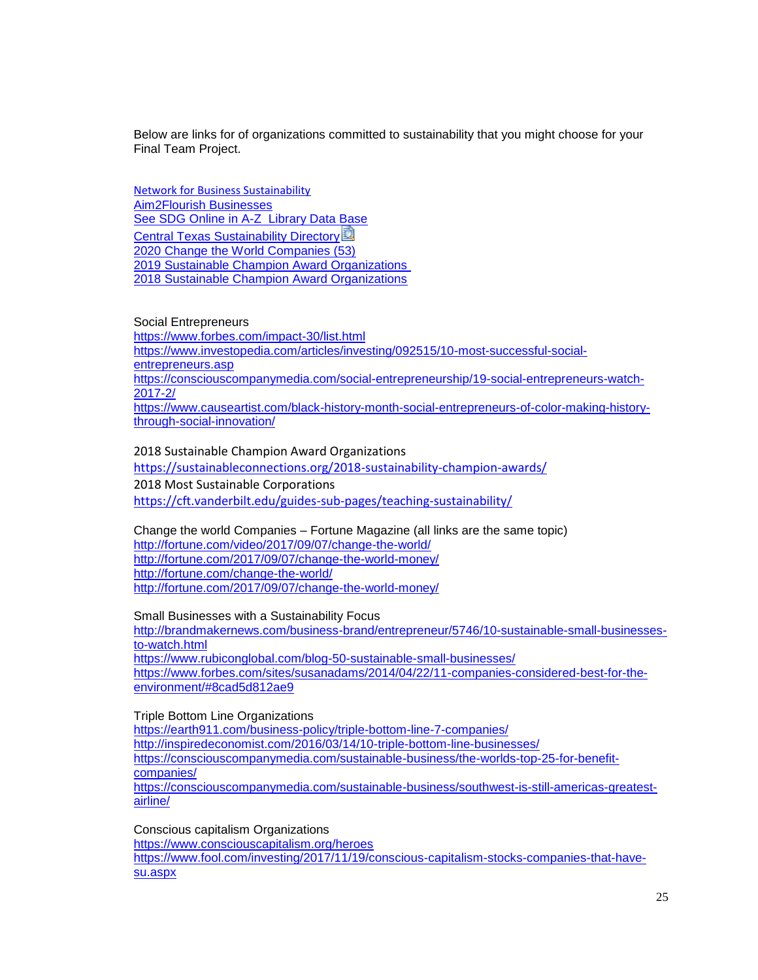Below are links for of organizations committed to sustainability that you might choose for your Final Team Project.

[Network for Business Sustainability](https://www.nbs.net/see-our-full-resource-library?utm_source=Master+List&utm_campaign=c8c031e6f4-EMAIL_CAMPAIGN_2019_12_16_02_16&utm_medium=email&utm_term=0_44e73b0e1c-c8c031e6f4-61262711)  [Aim2Flourish Businesses](https://aim2flourish.com/businesses) [See SDG Online in A-Z](https://tamuct.libguides.com/index) Library Data Base [Central Texas Sustainability Directory](https://tamuct.instructure.com/courses/6305/files/628908/download?wrap=1) [2020 Change the World Companies \(53\)](https://fortune.com/change-the-world/) [2019 Sustainable Champion Award Organizations](https://sealawards.com/sustainability-award-2019/) [2018 Sustainable Champion Award Organizations](https://sustainableconnections.org/2018-sustainability-champion-awards/)

#### Social Entrepreneurs

<https://www.forbes.com/impact-30/list.html> [https://www.investopedia.com/articles/investing/092515/10-most-successful-social](https://www.investopedia.com/articles/investing/092515/10-most-successful-social-entrepreneurs.asp)[entrepreneurs.asp](https://www.investopedia.com/articles/investing/092515/10-most-successful-social-entrepreneurs.asp) [https://consciouscompanymedia.com/social-entrepreneurship/19-social-entrepreneurs-watch-](https://consciouscompanymedia.com/social-entrepreneurship/19-social-entrepreneurs-watch-2017-2/)[2017-2/](https://consciouscompanymedia.com/social-entrepreneurship/19-social-entrepreneurs-watch-2017-2/) [https://www.causeartist.com/black-history-month-social-entrepreneurs-of-color-making-history](https://www.causeartist.com/black-history-month-social-entrepreneurs-of-color-making-history-through-social-innovation/)[through-social-innovation/](https://www.causeartist.com/black-history-month-social-entrepreneurs-of-color-making-history-through-social-innovation/)

2018 Sustainable Champion Award Organizations <https://sustainableconnections.org/2018-sustainability-champion-awards/> 2018 Most Sustainable Corporations <https://cft.vanderbilt.edu/guides-sub-pages/teaching-sustainability/>

Change the world Companies – Fortune Magazine (all links are the same topic) <http://fortune.com/video/2017/09/07/change-the-world/> <http://fortune.com/2017/09/07/change-the-world-money/> <http://fortune.com/change-the-world/> <http://fortune.com/2017/09/07/change-the-world-money/>

Small Businesses with a Sustainability Focus

[http://brandmakernews.com/business-brand/entrepreneur/5746/10-sustainable-small-businesses](http://brandmakernews.com/business-brand/entrepreneur/5746/10-sustainable-small-businesses-to-watch.html)[to-watch.html](http://brandmakernews.com/business-brand/entrepreneur/5746/10-sustainable-small-businesses-to-watch.html) <https://www.rubiconglobal.com/blog-50-sustainable-small-businesses/> [https://www.forbes.com/sites/susanadams/2014/04/22/11-companies-considered-best-for-the](https://www.forbes.com/sites/susanadams/2014/04/22/11-companies-considered-best-for-the-environment/#8cad5d812ae9)[environment/#8cad5d812ae9](https://www.forbes.com/sites/susanadams/2014/04/22/11-companies-considered-best-for-the-environment/#8cad5d812ae9)

Triple Bottom Line Organizations

<https://earth911.com/business-policy/triple-bottom-line-7-companies/> <http://inspiredeconomist.com/2016/03/14/10-triple-bottom-line-businesses/> [https://consciouscompanymedia.com/sustainable-business/the-worlds-top-25-for-benefit](https://consciouscompanymedia.com/sustainable-business/the-worlds-top-25-for-benefit-companies/)[companies/](https://consciouscompanymedia.com/sustainable-business/the-worlds-top-25-for-benefit-companies/) [https://consciouscompanymedia.com/sustainable-business/southwest-is-still-americas-greatest](https://consciouscompanymedia.com/sustainable-business/southwest-is-still-americas-greatest-airline/)[airline/](https://consciouscompanymedia.com/sustainable-business/southwest-is-still-americas-greatest-airline/)

Conscious capitalism Organizations

<https://www.consciouscapitalism.org/heroes>

[https://www.fool.com/investing/2017/11/19/conscious-capitalism-stocks-companies-that-have](https://www.fool.com/investing/2017/11/19/conscious-capitalism-stocks-companies-that-have-su.aspx)[su.aspx](https://www.fool.com/investing/2017/11/19/conscious-capitalism-stocks-companies-that-have-su.aspx)